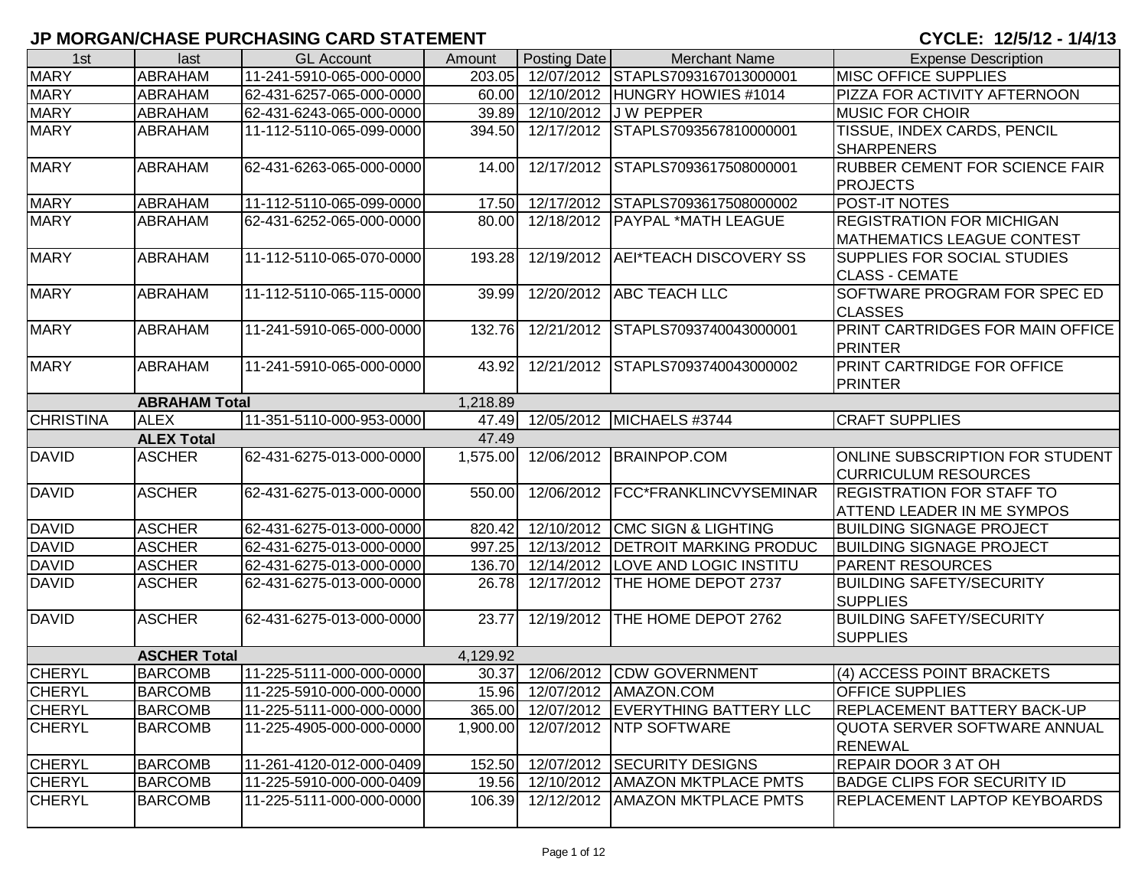## **JP MORGAN/CHASE PURCHASING CARD STATEMENT CYCLE: 12/5/12 - 1/4/13**

| 1st              | last                 | <b>GL Account</b>        | Amount   | Posting Date | <b>Merchant Name</b>                | <b>Expense Description</b>            |
|------------------|----------------------|--------------------------|----------|--------------|-------------------------------------|---------------------------------------|
| <b>MARY</b>      | <b>ABRAHAM</b>       | 11-241-5910-065-000-0000 | 203.05   |              | 12/07/2012 STAPLS7093167013000001   | <b>MISC OFFICE SUPPLIES</b>           |
| <b>MARY</b>      | ABRAHAM              | 62-431-6257-065-000-0000 | 60.00    |              | 12/10/2012 HUNGRY HOWIES #1014      | PIZZA FOR ACTIVITY AFTERNOON          |
| <b>MARY</b>      | ABRAHAM              | 62-431-6243-065-000-0000 | 39.89    |              | 12/10/2012 J W PEPPER               | <b>MUSIC FOR CHOIR</b>                |
| <b>MARY</b>      | ABRAHAM              | 11-112-5110-065-099-0000 | 394.50   |              | 12/17/2012 STAPLS7093567810000001   | TISSUE, INDEX CARDS, PENCIL           |
|                  |                      |                          |          |              |                                     | <b>SHARPENERS</b>                     |
| <b>MARY</b>      | ABRAHAM              | 62-431-6263-065-000-0000 | 14.00    |              | 12/17/2012 STAPLS7093617508000001   | <b>RUBBER CEMENT FOR SCIENCE FAIR</b> |
|                  |                      |                          |          |              |                                     | <b>PROJECTS</b>                       |
| <b>MARY</b>      | ABRAHAM              | 11-112-5110-065-099-0000 | 17.50    |              | 12/17/2012 STAPLS7093617508000002   | POST-IT NOTES                         |
| <b>MARY</b>      | ABRAHAM              | 62-431-6252-065-000-0000 | 80.00    |              | 12/18/2012 PAYPAL *MATH LEAGUE      | <b>REGISTRATION FOR MICHIGAN</b>      |
|                  |                      |                          |          |              |                                     | <b>MATHEMATICS LEAGUE CONTEST</b>     |
| <b>MARY</b>      | ABRAHAM              | 11-112-5110-065-070-0000 | 193.28   |              | 12/19/2012   AEI*TEACH DISCOVERY SS | <b>SUPPLIES FOR SOCIAL STUDIES</b>    |
|                  |                      |                          |          |              |                                     | <b>CLASS - CEMATE</b>                 |
| <b>MARY</b>      | ABRAHAM              | 11-112-5110-065-115-0000 | 39.99    |              | 12/20/2012 ABC TEACH LLC            | SOFTWARE PROGRAM FOR SPEC ED          |
|                  |                      |                          |          |              |                                     | <b>CLASSES</b>                        |
| <b>MARY</b>      | ABRAHAM              | 11-241-5910-065-000-0000 | 132.76   |              | 12/21/2012 STAPLS7093740043000001   | PRINT CARTRIDGES FOR MAIN OFFICE      |
|                  |                      |                          |          |              |                                     | PRINTER                               |
| <b>MARY</b>      | ABRAHAM              | 11-241-5910-065-000-0000 | 43.92    |              | 12/21/2012 STAPLS7093740043000002   | PRINT CARTRIDGE FOR OFFICE            |
|                  |                      |                          |          |              |                                     | <b>PRINTER</b>                        |
|                  | <b>ABRAHAM Total</b> |                          | 1,218.89 |              |                                     |                                       |
| <b>CHRISTINA</b> | <b>ALEX</b>          | 11-351-5110-000-953-0000 | 47.49    |              | 12/05/2012 MICHAELS #3744           | <b>CRAFT SUPPLIES</b>                 |
|                  | <b>ALEX Total</b>    |                          | 47.49    |              |                                     |                                       |
| <b>DAVID</b>     | <b>ASCHER</b>        | 62-431-6275-013-000-0000 | 1,575.00 |              | 12/06/2012 BRAINPOP.COM             | ONLINE SUBSCRIPTION FOR STUDENT       |
|                  |                      |                          |          |              |                                     | <b>CURRICULUM RESOURCES</b>           |
| <b>DAVID</b>     | <b>ASCHER</b>        | 62-431-6275-013-000-0000 | 550.00   |              | 12/06/2012   FCC*FRANKLINCVYSEMINAR | <b>REGISTRATION FOR STAFF TO</b>      |
|                  |                      |                          |          |              |                                     | <b>ATTEND LEADER IN ME SYMPOS</b>     |
| <b>DAVID</b>     | <b>ASCHER</b>        | 62-431-6275-013-000-0000 | 820.42   |              | 12/10/2012 CMC SIGN & LIGHTING      | <b>BUILDING SIGNAGE PROJECT</b>       |
| <b>DAVID</b>     | <b>ASCHER</b>        | 62-431-6275-013-000-0000 | 997.25   |              | 12/13/2012   DETROIT MARKING PRODUC | <b>BUILDING SIGNAGE PROJECT</b>       |
| <b>DAVID</b>     | <b>ASCHER</b>        | 62-431-6275-013-000-0000 | 136.70   |              | 12/14/2012  LOVE AND LOGIC INSTITU  | <b>PARENT RESOURCES</b>               |
| <b>DAVID</b>     | <b>ASCHER</b>        | 62-431-6275-013-000-0000 | 26.78    |              | 12/17/2012 THE HOME DEPOT 2737      | <b>BUILDING SAFETY/SECURITY</b>       |
|                  |                      |                          |          |              |                                     | <b>SUPPLIES</b>                       |
| <b>DAVID</b>     | <b>ASCHER</b>        | 62-431-6275-013-000-0000 | 23.77    |              | 12/19/2012 THE HOME DEPOT 2762      | <b>BUILDING SAFETY/SECURITY</b>       |
|                  |                      |                          |          |              |                                     | <b>SUPPLIES</b>                       |
|                  | <b>ASCHER Total</b>  |                          | 4,129.92 |              |                                     |                                       |
| <b>CHERYL</b>    | <b>BARCOMB</b>       | 11-225-5111-000-000-0000 | 30.37    |              | 12/06/2012 CDW GOVERNMENT           | (4) ACCESS POINT BRACKETS             |
| <b>CHERYL</b>    | <b>BARCOMB</b>       | 11-225-5910-000-000-0000 |          |              | 15.96 12/07/2012 AMAZON.COM         | <b>OFFICE SUPPLIES</b>                |
| <b>CHERYL</b>    | <b>BARCOMB</b>       | 11-225-5111-000-000-0000 | 365.00   |              | 12/07/2012 EVERYTHING BATTERY LLC   | REPLACEMENT BATTERY BACK-UP           |
| <b>CHERYL</b>    | <b>BARCOMB</b>       | 11-225-4905-000-000-0000 | 1,900.00 |              | 12/07/2012 NTP SOFTWARE             | QUOTA SERVER SOFTWARE ANNUAL          |
|                  |                      |                          |          |              |                                     | <b>RENEWAL</b>                        |
| <b>CHERYL</b>    | <b>BARCOMB</b>       | 11-261-4120-012-000-0409 | 152.50   |              | 12/07/2012 SECURITY DESIGNS         | <b>REPAIR DOOR 3 AT OH</b>            |
| <b>CHERYL</b>    | <b>BARCOMB</b>       | 11-225-5910-000-000-0409 | 19.56    |              | 12/10/2012 AMAZON MKTPLACE PMTS     | <b>BADGE CLIPS FOR SECURITY ID</b>    |
| <b>CHERYL</b>    | <b>BARCOMB</b>       | 11-225-5111-000-000-0000 | 106.39   |              | 12/12/2012   AMAZON MKTPLACE PMTS   | <b>REPLACEMENT LAPTOP KEYBOARDS</b>   |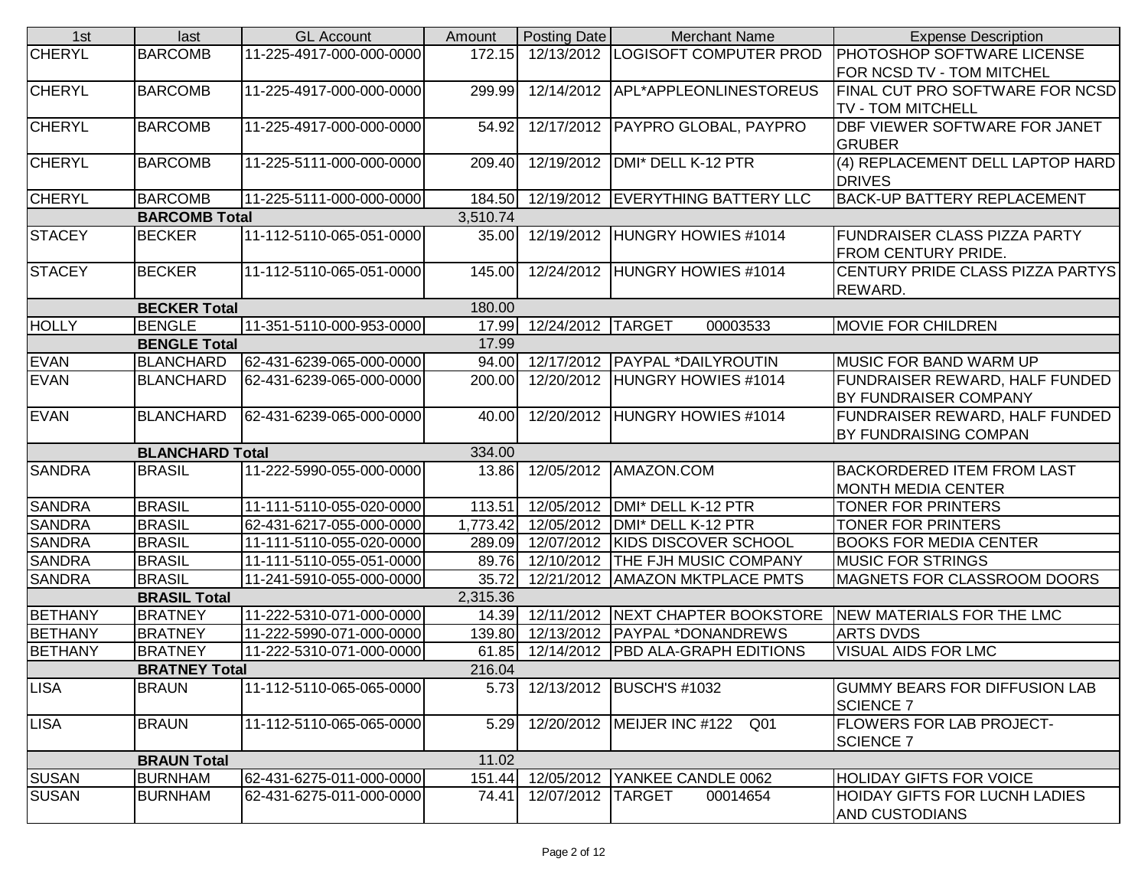| 1st            | last                   | <b>GL Account</b>        | Amount   | <b>Posting Date</b>     | <b>Merchant Name</b>                     | <b>Expense Description</b>           |
|----------------|------------------------|--------------------------|----------|-------------------------|------------------------------------------|--------------------------------------|
| <b>CHERYL</b>  | <b>BARCOMB</b>         | 11-225-4917-000-000-0000 | 172.15   |                         | 12/13/2012 LOGISOFT COMPUTER PROD        | <b>PHOTOSHOP SOFTWARE LICENSE</b>    |
|                |                        |                          |          |                         |                                          | FOR NCSD TV - TOM MITCHEL            |
| <b>CHERYL</b>  | <b>BARCOMB</b>         | 11-225-4917-000-000-0000 | 299.99   |                         | 12/14/2012   APL*APPLEONLINESTOREUS      | FINAL CUT PRO SOFTWARE FOR NCSD      |
|                |                        |                          |          |                         |                                          | <b>TV - TOM MITCHELL</b>             |
| <b>CHERYL</b>  | <b>BARCOMB</b>         | 11-225-4917-000-000-0000 | 54.92    |                         | 12/17/2012   PAYPRO GLOBAL, PAYPRO       | DBF VIEWER SOFTWARE FOR JANET        |
|                |                        |                          |          |                         |                                          | <b>GRUBER</b>                        |
| <b>CHERYL</b>  | <b>BARCOMB</b>         | 11-225-5111-000-000-0000 | 209.40   |                         | 12/19/2012   DMI* DELL K-12 PTR          | (4) REPLACEMENT DELL LAPTOP HARD     |
|                |                        |                          |          |                         |                                          | <b>DRIVES</b>                        |
| <b>CHERYL</b>  | <b>BARCOMB</b>         | 11-225-5111-000-000-0000 |          |                         | 184.50 12/19/2012 EVERYTHING BATTERY LLC | <b>BACK-UP BATTERY REPLACEMENT</b>   |
|                | <b>BARCOMB Total</b>   |                          | 3,510.74 |                         |                                          |                                      |
| <b>STACEY</b>  | <b>BECKER</b>          | 11-112-5110-065-051-0000 |          |                         | 35.00 12/19/2012 HUNGRY HOWIES #1014     | <b>FUNDRAISER CLASS PIZZA PARTY</b>  |
|                |                        |                          |          |                         |                                          | <b>FROM CENTURY PRIDE.</b>           |
| <b>STACEY</b>  | <b>BECKER</b>          | 11-112-5110-065-051-0000 | 145.00   |                         | 12/24/2012 HUNGRY HOWIES #1014           | CENTURY PRIDE CLASS PIZZA PARTYS     |
|                |                        |                          |          |                         |                                          | REWARD.                              |
|                | <b>BECKER Total</b>    |                          | 180.00   |                         |                                          |                                      |
| <b>HOLLY</b>   | <b>BENGLE</b>          | 11-351-5110-000-953-0000 |          | 17.99 12/24/2012 TARGET | 00003533                                 | <b>MOVIE FOR CHILDREN</b>            |
|                | <b>BENGLE Total</b>    |                          | 17.99    |                         |                                          |                                      |
| <b>EVAN</b>    | <b>BLANCHARD</b>       | 62-431-6239-065-000-0000 | 94.00    |                         | 12/17/2012   PAYPAL * DAILY ROUTIN       | MUSIC FOR BAND WARM UP               |
| <b>EVAN</b>    | <b>BLANCHARD</b>       | 62-431-6239-065-000-0000 | 200.00   |                         | 12/20/2012 HUNGRY HOWIES #1014           | FUNDRAISER REWARD, HALF FUNDED       |
|                |                        |                          |          |                         |                                          | BY FUNDRAISER COMPANY                |
| <b>EVAN</b>    | <b>BLANCHARD</b>       | 62-431-6239-065-000-0000 | 40.00    | 12/20/2012              | HUNGRY HOWIES #1014                      | FUNDRAISER REWARD, HALF FUNDED       |
|                |                        |                          |          |                         |                                          | BY FUNDRAISING COMPAN                |
|                | <b>BLANCHARD Total</b> |                          | 334.00   |                         |                                          |                                      |
| <b>SANDRA</b>  | <b>BRASIL</b>          | 11-222-5990-055-000-0000 | 13.86    | 12/05/2012              | AMAZON.COM                               | <b>BACKORDERED ITEM FROM LAST</b>    |
|                |                        |                          |          |                         |                                          | <b>MONTH MEDIA CENTER</b>            |
| <b>SANDRA</b>  | <b>BRASIL</b>          | 11-111-5110-055-020-0000 | 113.51   | 12/05/2012              | DMI* DELL K-12 PTR                       | TONER FOR PRINTERS                   |
| <b>SANDRA</b>  | <b>BRASIL</b>          | 62-431-6217-055-000-0000 | 1,773.42 | 12/05/2012              | DMI* DELL K-12 PTR                       | TONER FOR PRINTERS                   |
| <b>SANDRA</b>  | <b>BRASIL</b>          | 11-111-5110-055-020-0000 | 289.09   | 12/07/2012              | <b>KIDS DISCOVER SCHOOL</b>              | <b>BOOKS FOR MEDIA CENTER</b>        |
| <b>SANDRA</b>  | <b>BRASIL</b>          | 11-111-5110-055-051-0000 | 89.76    | 12/10/2012              | <b>THE FJH MUSIC COMPANY</b>             | <b>MUSIC FOR STRINGS</b>             |
| <b>SANDRA</b>  | <b>BRASIL</b>          | 11-241-5910-055-000-0000 | 35.72    |                         | 12/21/2012   AMAZON MKTPLACE PMTS        | MAGNETS FOR CLASSROOM DOORS          |
|                | <b>BRASIL Total</b>    |                          | 2,315.36 |                         |                                          |                                      |
| <b>BETHANY</b> | <b>BRATNEY</b>         | 11-222-5310-071-000-0000 |          |                         | 14.39 12/11/2012 NEXT CHAPTER BOOKSTORE  | NEW MATERIALS FOR THE LMC            |
| <b>BETHANY</b> | <b>BRATNEY</b>         | 11-222-5990-071-000-0000 | 139.80   |                         | 12/13/2012   PAYPAL * DONANDREWS         | <b>ARTS DVDS</b>                     |
| <b>BETHANY</b> | <b>BRATNEY</b>         | 11-222-5310-071-000-0000 | 61.85    | 12/14/2012              | <b>PBD ALA-GRAPH EDITIONS</b>            | <b>VISUAL AIDS FOR LMC</b>           |
|                | <b>BRATNEY Total</b>   |                          | 216.04   |                         |                                          |                                      |
| <b>LISA</b>    | <b>BRAUN</b>           | 11-112-5110-065-065-0000 | 5.73     |                         | 12/13/2012 BUSCH'S #1032                 | <b>GUMMY BEARS FOR DIFFUSION LAB</b> |
|                |                        |                          |          |                         |                                          | <b>SCIENCE 7</b>                     |
| <b>LISA</b>    | <b>BRAUN</b>           | 11-112-5110-065-065-0000 |          |                         | 5.29 12/20/2012 MEIJER INC #122 Q01      | <b>FLOWERS FOR LAB PROJECT-</b>      |
|                |                        |                          |          |                         |                                          | <b>SCIENCE 7</b>                     |
|                | <b>BRAUN Total</b>     |                          | 11.02    |                         |                                          |                                      |
| <b>SUSAN</b>   | <b>BURNHAM</b>         | 62-431-6275-011-000-0000 |          |                         | 151.44 12/05/2012 YANKEE CANDLE 0062     | <b>HOLIDAY GIFTS FOR VOICE</b>       |
| <b>SUSAN</b>   | <b>BURNHAM</b>         | 62-431-6275-011-000-0000 | 74.41    | 12/07/2012 TARGET       | 00014654                                 | <b>HOIDAY GIFTS FOR LUCNH LADIES</b> |
|                |                        |                          |          |                         |                                          | AND CUSTODIANS                       |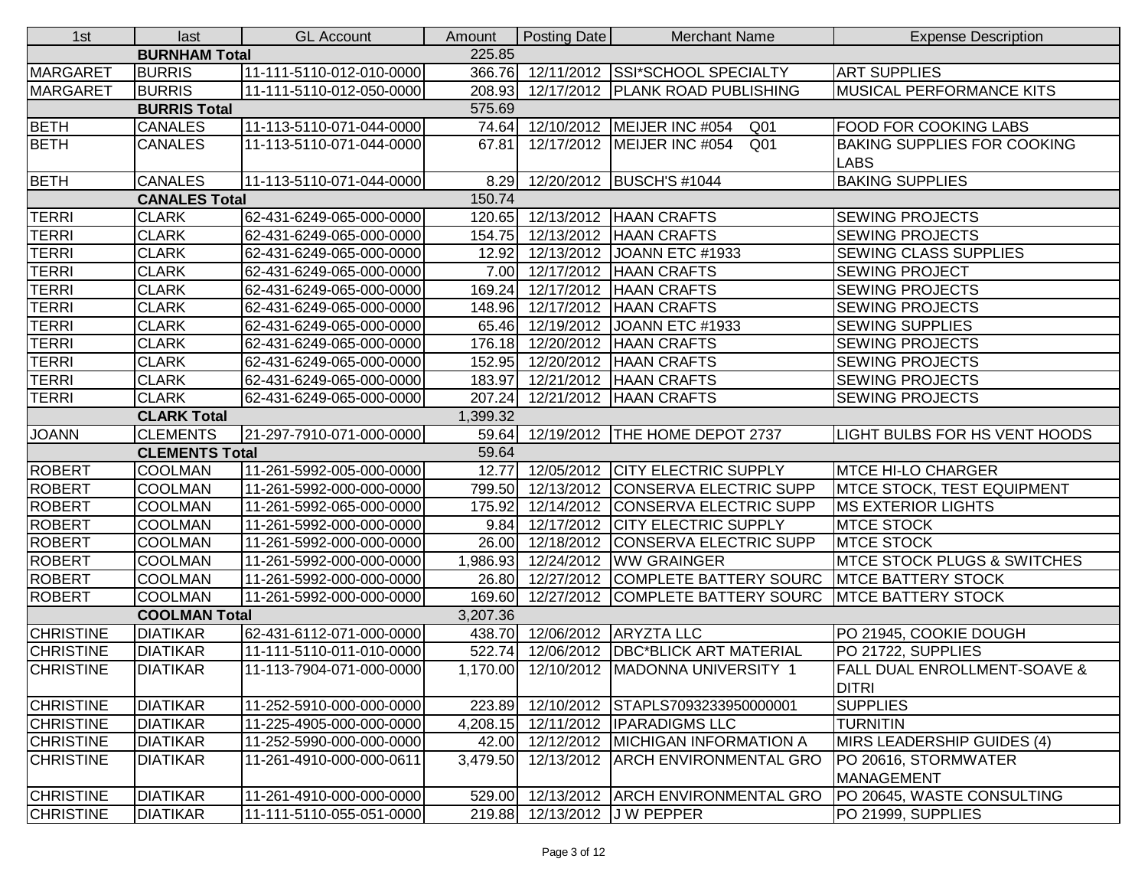| 1st                            | last                  | <b>GL Account</b>        | Amount   | <b>Posting Date</b> | <b>Merchant Name</b>                                 | <b>Expense Description</b>              |  |  |
|--------------------------------|-----------------------|--------------------------|----------|---------------------|------------------------------------------------------|-----------------------------------------|--|--|
|                                | <b>BURNHAM Total</b>  |                          | 225.85   |                     |                                                      |                                         |  |  |
| <b>MARGARET</b>                | <b>BURRIS</b>         | 11-111-5110-012-010-0000 | 366.76   |                     | 12/11/2012 SSI*SCHOOL SPECIALTY                      | <b>ART SUPPLIES</b>                     |  |  |
| <b>MARGARET</b>                | <b>BURRIS</b>         | 11-111-5110-012-050-0000 | 208.93   |                     | 12/17/2012   PLANK ROAD PUBLISHING                   | <b>MUSICAL PERFORMANCE KITS</b>         |  |  |
|                                | <b>BURRIS Total</b>   |                          | 575.69   |                     |                                                      |                                         |  |  |
| <b>BETH</b>                    | <b>CANALES</b>        | 11-113-5110-071-044-0000 | 74.64    |                     | 12/10/2012   MEIJER INC #054<br>Q <sub>01</sub>      | <b>FOOD FOR COOKING LABS</b>            |  |  |
| <b>BETH</b>                    | <b>CANALES</b>        | 11-113-5110-071-044-0000 | 67.81    |                     | 12/17/2012   MEIJER INC #054<br>Q <sub>01</sub>      | <b>BAKING SUPPLIES FOR COOKING</b>      |  |  |
|                                |                       |                          |          |                     |                                                      | <b>LABS</b>                             |  |  |
| <b>BETH</b>                    | <b>CANALES</b>        | 11-113-5110-071-044-0000 | 8.29     |                     | 12/20/2012   BUSCH'S #1044                           | <b>BAKING SUPPLIES</b>                  |  |  |
| <b>CANALES Total</b><br>150.74 |                       |                          |          |                     |                                                      |                                         |  |  |
| <b>TERRI</b>                   | <b>CLARK</b>          | 62-431-6249-065-000-0000 |          |                     | 120.65 12/13/2012 HAAN CRAFTS                        | <b>SEWING PROJECTS</b>                  |  |  |
| <b>TERRI</b>                   | <b>CLARK</b>          | 62-431-6249-065-000-0000 | 154.75   |                     | 12/13/2012   HAAN CRAFTS                             | <b>SEWING PROJECTS</b>                  |  |  |
| <b>TERRI</b>                   | <b>CLARK</b>          | 62-431-6249-065-000-0000 | 12.92    |                     | 12/13/2012 JOANN ETC #1933                           | SEWING CLASS SUPPLIES                   |  |  |
| <b>TERRI</b>                   | <b>CLARK</b>          | 62-431-6249-065-000-0000 | 7.00     |                     | 12/17/2012   HAAN CRAFTS                             | <b>SEWING PROJECT</b>                   |  |  |
| <b>TERRI</b>                   | <b>CLARK</b>          | 62-431-6249-065-000-0000 | 169.24   |                     | 12/17/2012   HAAN CRAFTS                             | <b>SEWING PROJECTS</b>                  |  |  |
| <b>TERRI</b>                   | <b>CLARK</b>          | 62-431-6249-065-000-0000 | 148.96   |                     | 12/17/2012   HAAN CRAFTS                             | <b>SEWING PROJECTS</b>                  |  |  |
| <b>TERRI</b>                   | <b>CLARK</b>          | 62-431-6249-065-000-0000 | 65.46    |                     | 12/19/2012 JOANN ETC #1933                           | <b>SEWING SUPPLIES</b>                  |  |  |
| <b>TERRI</b>                   | <b>CLARK</b>          | 62-431-6249-065-000-0000 | 176.18   |                     | 12/20/2012   HAAN CRAFTS                             | <b>SEWING PROJECTS</b>                  |  |  |
| <b>TERRI</b>                   | <b>CLARK</b>          | 62-431-6249-065-000-0000 | 152.95   |                     | 12/20/2012 HAAN CRAFTS                               | <b>SEWING PROJECTS</b>                  |  |  |
| <b>TERRI</b>                   | <b>CLARK</b>          | 62-431-6249-065-000-0000 | 183.97   |                     | 12/21/2012   HAAN CRAFTS                             | <b>SEWING PROJECTS</b>                  |  |  |
| <b>TERRI</b>                   | <b>CLARK</b>          | 62-431-6249-065-000-0000 | 207.24   |                     | 12/21/2012 HAAN CRAFTS                               | <b>SEWING PROJECTS</b>                  |  |  |
|                                | <b>CLARK Total</b>    |                          | 1,399.32 |                     |                                                      |                                         |  |  |
| <b>JOANN</b>                   | <b>CLEMENTS</b>       | 21-297-7910-071-000-0000 | 59.64    |                     | 12/19/2012   THE HOME DEPOT 2737                     | LIGHT BULBS FOR HS VENT HOODS           |  |  |
|                                | <b>CLEMENTS Total</b> |                          | 59.64    |                     |                                                      |                                         |  |  |
| <b>ROBERT</b>                  | <b>COOLMAN</b>        | 11-261-5992-005-000-0000 | 12.77    |                     | 12/05/2012 CITY ELECTRIC SUPPLY                      | <b>MTCE HI-LO CHARGER</b>               |  |  |
| <b>ROBERT</b>                  | <b>COOLMAN</b>        | 11-261-5992-000-000-0000 | 799.50   |                     | 12/13/2012 CONSERVA ELECTRIC SUPP                    | <b>IMTCE STOCK, TEST EQUIPMENT</b>      |  |  |
| <b>ROBERT</b>                  | <b>COOLMAN</b>        | 11-261-5992-065-000-0000 | 175.92   |                     | 12/14/2012 CONSERVA ELECTRIC SUPP                    | <b>MS EXTERIOR LIGHTS</b>               |  |  |
| <b>ROBERT</b>                  | <b>COOLMAN</b>        | 11-261-5992-000-000-0000 | 9.84     |                     | 12/17/2012 CITY ELECTRIC SUPPLY                      | <b>MTCE STOCK</b>                       |  |  |
| <b>ROBERT</b>                  | <b>COOLMAN</b>        | 11-261-5992-000-000-0000 | 26.00    |                     | 12/18/2012 CONSERVA ELECTRIC SUPP                    | <b>MTCE STOCK</b>                       |  |  |
| <b>ROBERT</b>                  | <b>COOLMAN</b>        | 11-261-5992-000-000-0000 | 1,986.93 |                     | 12/24/2012   WW GRAINGER                             | <b>MTCE STOCK PLUGS &amp; SWITCHES</b>  |  |  |
| ROBERT                         | <b>COOLMAN</b>        | 11-261-5992-000-000-0000 | 26.80    |                     | 12/27/2012 COMPLETE BATTERY SOURC                    | <b>IMTCE BATTERY STOCK</b>              |  |  |
| <b>ROBERT</b>                  | <b>COOLMAN</b>        | 11-261-5992-000-000-0000 | 169.60   |                     | 12/27/2012 COMPLETE BATTERY SOURC MTCE BATTERY STOCK |                                         |  |  |
|                                | <b>COOLMAN Total</b>  |                          | 3,207.36 |                     |                                                      |                                         |  |  |
| <b>CHRISTINE</b>               | <b>DIATIKAR</b>       | 62-431-6112-071-000-0000 | 438.70   |                     | 12/06/2012 ARYZTA LLC                                | PO 21945, COOKIE DOUGH                  |  |  |
| <b>CHRISTINE</b>               | <b>DIATIKAR</b>       | 11-111-5110-011-010-0000 | 522.74   |                     | 12/06/2012   DBC*BLICK ART MATERIAL                  | PO 21722, SUPPLIES                      |  |  |
| <b>CHRISTINE</b>               | <b>DIATIKAR</b>       | 11-113-7904-071-000-0000 |          |                     | 1,170.00 12/10/2012   MADONNA UNIVERSITY 1           | <b>FALL DUAL ENROLLMENT-SOAVE &amp;</b> |  |  |
|                                |                       |                          |          |                     |                                                      | <b>DITRI</b>                            |  |  |
| <b>CHRISTINE</b>               | <b>DIATIKAR</b>       | 11-252-5910-000-000-0000 | 223.89   |                     | 12/10/2012 STAPLS7093233950000001                    | <b>SUPPLIES</b>                         |  |  |
| <b>CHRISTINE</b>               | <b>DIATIKAR</b>       | 11-225-4905-000-000-0000 |          |                     | 4,208.15 12/11/2012 IPARADIGMS LLC                   | <b>TURNITIN</b>                         |  |  |
| <b>CHRISTINE</b>               | <b>DIATIKAR</b>       | 11-252-5990-000-000-0000 |          |                     | 42.00 12/12/2012 MICHIGAN INFORMATION A              | MIRS LEADERSHIP GUIDES (4)              |  |  |
| <b>CHRISTINE</b>               | <b>DIATIKAR</b>       | 11-261-4910-000-000-0611 | 3,479.50 |                     | 12/13/2012   ARCH ENVIRONMENTAL GRO                  | PO 20616, STORMWATER                    |  |  |
|                                |                       |                          |          |                     |                                                      | MANAGEMENT                              |  |  |
| <b>CHRISTINE</b>               | <b>DIATIKAR</b>       | 11-261-4910-000-000-0000 |          |                     | 529.00 12/13/2012 ARCH ENVIRONMENTAL GRO             | PO 20645, WASTE CONSULTING              |  |  |
| <b>CHRISTINE</b>               | <b>DIATIKAR</b>       | 11-111-5110-055-051-0000 |          |                     | 219.88 12/13/2012 J W PEPPER                         | PO 21999, SUPPLIES                      |  |  |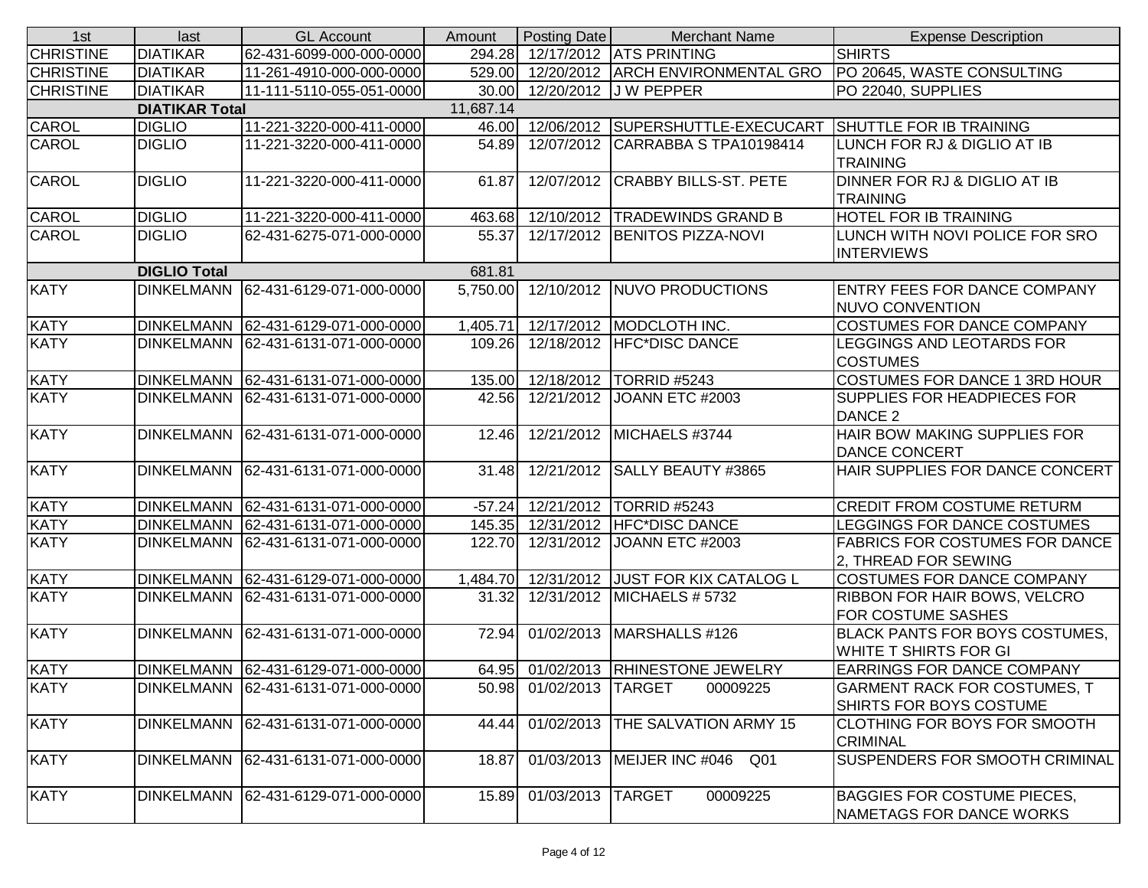| 1st                           | last                  | <b>GL Account</b>                   | Amount              | Posting Date        | <b>Merchant Name</b>                | <b>Expense Description</b>                                     |  |  |  |
|-------------------------------|-----------------------|-------------------------------------|---------------------|---------------------|-------------------------------------|----------------------------------------------------------------|--|--|--|
| <b>CHRISTINE</b>              | <b>DIATIKAR</b>       | 62-431-6099-000-000-0000            | 294.28              |                     | 12/17/2012 ATS PRINTING             | <b>SHIRTS</b>                                                  |  |  |  |
| <b>CHRISTINE</b>              | <b>DIATIKAR</b>       | 11-261-4910-000-000-0000            | 529.00              | 12/20/2012          | <b>ARCH ENVIRONMENTAL GRO</b>       | PO 20645, WASTE CONSULTING                                     |  |  |  |
| <b>CHRISTINE</b>              | <b>DIATIKAR</b>       | 11-111-5110-055-051-0000            | 30.00               |                     | 12/20/2012 J W PEPPER               | PO 22040, SUPPLIES                                             |  |  |  |
|                               | <b>DIATIKAR Total</b> |                                     | 11,687.14           |                     |                                     |                                                                |  |  |  |
| <b>CAROL</b>                  | <b>DIGLIO</b>         | 11-221-3220-000-411-0000            | 46.00               |                     | 12/06/2012 SUPERSHUTTLE-EXECUCART   | <b>SHUTTLE FOR IB TRAINING</b>                                 |  |  |  |
| CAROL                         | <b>DIGLIO</b>         | 11-221-3220-000-411-0000            | 54.89               |                     | 12/07/2012 CARRABBA S TPA10198414   | LUNCH FOR RJ & DIGLIO AT IB<br><b>TRAINING</b>                 |  |  |  |
| CAROL                         | <b>DIGLIO</b>         | 11-221-3220-000-411-0000            | 61.87               | 12/07/2012          | <b>CRABBY BILLS-ST. PETE</b>        | DINNER FOR RJ & DIGLIO AT IB<br><b>TRAINING</b>                |  |  |  |
| CAROL                         | <b>DIGLIO</b>         | 11-221-3220-000-411-0000            | 463.68              | 12/10/2012          | <b>TRADEWINDS GRAND B</b>           | <b>HOTEL FOR IB TRAINING</b>                                   |  |  |  |
| CAROL                         | <b>DIGLIO</b>         | 62-431-6275-071-000-0000            | 55.37               | $\sqrt{12/17/2012}$ | <b>BENITOS PIZZA-NOVI</b>           | LUNCH WITH NOVI POLICE FOR SRO<br><b>INTERVIEWS</b>            |  |  |  |
| <b>DIGLIO Total</b><br>681.81 |                       |                                     |                     |                     |                                     |                                                                |  |  |  |
| <b>KATY</b>                   | <b>DINKELMANN</b>     | 62-431-6129-071-000-0000            | 5,750.00            | 12/10/2012          | NUVO PRODUCTIONS                    | <b>ENTRY FEES FOR DANCE COMPANY</b><br><b>NUVO CONVENTION</b>  |  |  |  |
| <b>KATY</b>                   | <b>DINKELMANN</b>     | 62-431-6129-071-000-0000            | 1,405.71            | 12/17/2012          | MODCLOTH INC.                       | <b>COSTUMES FOR DANCE COMPANY</b>                              |  |  |  |
| <b>KATY</b>                   | <b>DINKELMANN</b>     | 62-431-6131-071-000-0000            | 109.26              | 12/18/2012          | <b>HFC*DISC DANCE</b>               | LEGGINGS AND LEOTARDS FOR<br><b>COSTUMES</b>                   |  |  |  |
| <b>KATY</b>                   | <b>DINKELMANN</b>     | 62-431-6131-071-000-0000            | 135.00              | 12/18/2012          | TORRID #5243                        | <b>COSTUMES FOR DANCE 1 3RD HOUR</b>                           |  |  |  |
| <b>KATY</b>                   | <b>DINKELMANN</b>     | 62-431-6131-071-000-0000            | 42.56               | 12/21/2012          | JOANN ETC #2003                     | SUPPLIES FOR HEADPIECES FOR<br>DANCE 2                         |  |  |  |
| <b>KATY</b>                   | <b>DINKELMANN</b>     | 62-431-6131-071-000-0000            | 12.46               | 12/21/2012          | MICHAELS #3744                      | HAIR BOW MAKING SUPPLIES FOR<br><b>DANCE CONCERT</b>           |  |  |  |
| <b>KATY</b>                   | <b>DINKELMANN</b>     | 62-431-6131-071-000-0000            | 31.48               | 12/21/2012          | <b>SALLY BEAUTY #3865</b>           | HAIR SUPPLIES FOR DANCE CONCERT                                |  |  |  |
| <b>KATY</b>                   | <b>DINKELMANN</b>     | 62-431-6131-071-000-0000            | $-57.24$            | 12/21/2012          | TORRID #5243                        | <b>CREDIT FROM COSTUME RETURM</b>                              |  |  |  |
| <b>KATY</b>                   | <b>DINKELMANN</b>     | 62-431-6131-071-000-0000            | 145.35              | 12/31/2012          | <b>HFC*DISC DANCE</b>               | LEGGINGS FOR DANCE COSTUMES                                    |  |  |  |
| <b>KATY</b>                   | <b>DINKELMANN</b>     | 62-431-6131-071-000-0000            | 122.70              | 12/31/2012          | JOANN ETC #2003                     | <b>FABRICS FOR COSTUMES FOR DANCE</b><br>2, THREAD FOR SEWING  |  |  |  |
| <b>KATY</b>                   | <b>DINKELMANN</b>     | 62-431-6129-071-000-0000            | 1,484.70            | 12/31/2012          | <b>JUST FOR KIX CATALOG L</b>       | <b>COSTUMES FOR DANCE COMPANY</b>                              |  |  |  |
| <b>KATY</b>                   | <b>DINKELMANN</b>     | 62-431-6131-071-000-0000            | 31.32               | 12/31/2012          | MICHAELS # 5732                     | <b>RIBBON FOR HAIR BOWS, VELCRO</b><br>FOR COSTUME SASHES      |  |  |  |
| <b>KATY</b>                   | <b>DINKELMANN</b>     | 62-431-6131-071-000-0000            | $\overline{7}$ 2.94 | 01/02/2013          | MARSHALLS #126                      | <b>BLACK PANTS FOR BOYS COSTUMES,</b><br>WHITE T SHIRTS FOR GI |  |  |  |
| <b>KATY</b>                   |                       | DINKELMANN 62-431-6129-071-000-0000 |                     |                     | 64.95 01/02/2013 RHINESTONE JEWELRY | <b>EARRINGS FOR DANCE COMPANY</b>                              |  |  |  |
| <b>KATY</b>                   | <b>DINKELMANN</b>     | 62-431-6131-071-000-0000            | 50.98               | 01/02/2013          | <b>TARGET</b><br>00009225           | <b>GARMENT RACK FOR COSTUMES, T</b><br>SHIRTS FOR BOYS COSTUME |  |  |  |
| <b>KATY</b>                   | <b>DINKELMANN</b>     | 62-431-6131-071-000-0000            | 44.44               | 01/02/2013          | THE SALVATION ARMY 15               | <b>CLOTHING FOR BOYS FOR SMOOTH</b><br><b>CRIMINAL</b>         |  |  |  |
| <b>KATY</b>                   | <b>DINKELMANN</b>     | 62-431-6131-071-000-0000            | 18.87               | 01/03/2013          | MEIJER INC #046<br>Q <sub>01</sub>  | SUSPENDERS FOR SMOOTH CRIMINAL                                 |  |  |  |
| <b>KATY</b>                   | <b>DINKELMANN</b>     | 62-431-6129-071-000-0000            | 15.89               | 01/03/2013          | <b>TARGET</b><br>00009225           | <b>BAGGIES FOR COSTUME PIECES,</b><br>NAMETAGS FOR DANCE WORKS |  |  |  |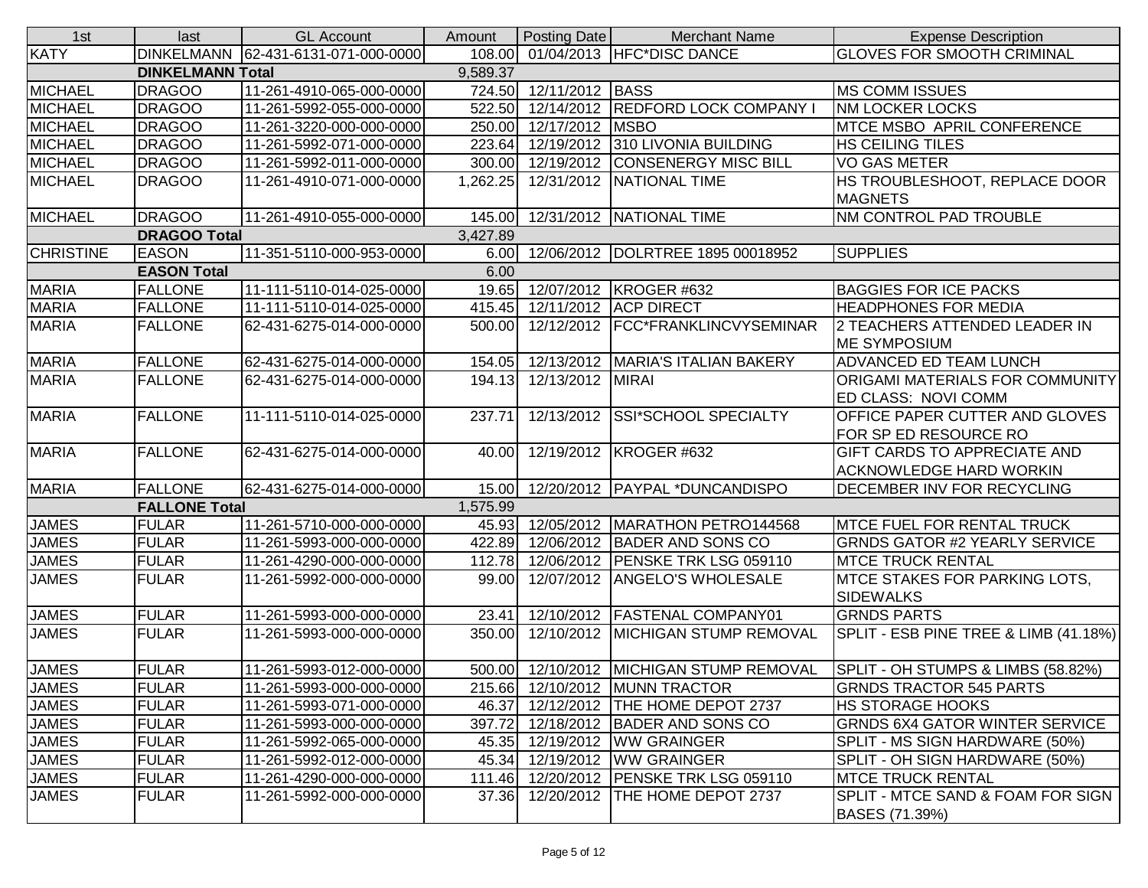| 1st              | last                    | <b>GL Account</b>                   | Amount   | Posting Date           | <b>Merchant Name</b>                     | <b>Expense Description</b>                                    |
|------------------|-------------------------|-------------------------------------|----------|------------------------|------------------------------------------|---------------------------------------------------------------|
| <b>KATY</b>      |                         | DINKELMANN 62-431-6131-071-000-0000 |          |                        | 108.00 01/04/2013 HFC*DISC DANCE         | <b>GLOVES FOR SMOOTH CRIMINAL</b>                             |
|                  | <b>DINKELMANN Total</b> |                                     | 9,589.37 |                        |                                          |                                                               |
| <b>MICHAEL</b>   | <b>DRAGOO</b>           | 11-261-4910-065-000-0000            |          | 724.50 12/11/2012 BASS |                                          | <b>MS COMM ISSUES</b>                                         |
| <b>MICHAEL</b>   | <b>DRAGOO</b>           | 11-261-5992-055-000-0000            | 522.50   |                        | 12/14/2012 REDFORD LOCK COMPANY I        | <b>NM LOCKER LOCKS</b>                                        |
| <b>MICHAEL</b>   | <b>DRAGOO</b>           | 11-261-3220-000-000-0000            | 250.00   | 12/17/2012 MSBO        |                                          | MTCE MSBO APRIL CONFERENCE                                    |
| <b>MICHAEL</b>   | <b>DRAGOO</b>           | 11-261-5992-071-000-0000            | 223.64   |                        | 12/19/2012 310 LIVONIA BUILDING          | <b>HS CEILING TILES</b>                                       |
| <b>MICHAEL</b>   | <b>DRAGOO</b>           | 11-261-5992-011-000-0000            | 300.00   |                        | 12/19/2012 CONSENERGY MISC BILL          | <b>VO GAS METER</b>                                           |
| <b>MICHAEL</b>   | <b>DRAGOO</b>           | 11-261-4910-071-000-0000            | 1,262.25 |                        | 12/31/2012 NATIONAL TIME                 | HS TROUBLESHOOT, REPLACE DOOR<br><b>MAGNETS</b>               |
| <b>MICHAEL</b>   | <b>DRAGOO</b>           | 11-261-4910-055-000-0000            | 145.00   |                        | 12/31/2012 NATIONAL TIME                 | NM CONTROL PAD TROUBLE                                        |
|                  | <b>DRAGOO Total</b>     |                                     | 3,427.89 |                        |                                          |                                                               |
| <b>CHRISTINE</b> | <b>EASON</b>            | 11-351-5110-000-953-0000            | 6.00     |                        | 12/06/2012   DOLRTREE 1895 00018952      | <b>SUPPLIES</b>                                               |
|                  | <b>EASON Total</b>      |                                     | 6.00     |                        |                                          |                                                               |
| <b>MARIA</b>     | <b>FALLONE</b>          | 11-111-5110-014-025-0000            |          |                        | 19.65 12/07/2012 KROGER #632             | <b>BAGGIES FOR ICE PACKS</b>                                  |
| <b>MARIA</b>     | <b>FALLONE</b>          | 11-111-5110-014-025-0000            |          |                        | 415.45 12/11/2012 ACP DIRECT             | <b>HEADPHONES FOR MEDIA</b>                                   |
| <b>MARIA</b>     | <b>FALLONE</b>          | 62-431-6275-014-000-0000            | 500.00   |                        | 12/12/2012   FCC*FRANKLINCVYSEMINAR      | 2 TEACHERS ATTENDED LEADER IN<br><b>ME SYMPOSIUM</b>          |
| <b>MARIA</b>     | <b>FALLONE</b>          | 62-431-6275-014-000-0000            | 154.05   |                        | 12/13/2012   MARIA'S ITALIAN BAKERY      | <b>ADVANCED ED TEAM LUNCH</b>                                 |
| <b>MARIA</b>     | <b>FALLONE</b>          | 62-431-6275-014-000-0000            | 194.13   | 12/13/2012   MIRAI     |                                          | <b>ORIGAMI MATERIALS FOR COMMUNITY</b><br>ED CLASS: NOVI COMM |
| <b>MARIA</b>     | <b>FALLONE</b>          | 11-111-5110-014-025-0000            | 237.71   | 12/13/2012             | <b>SSI*SCHOOL SPECIALTY</b>              | OFFICE PAPER CUTTER AND GLOVES                                |
|                  |                         |                                     |          |                        |                                          | FOR SP ED RESOURCE RO                                         |
| <b>MARIA</b>     | <b>FALLONE</b>          | 62-431-6275-014-000-0000            | 40.00    |                        | 12/19/2012 KROGER #632                   | <b>GIFT CARDS TO APPRECIATE AND</b>                           |
|                  |                         |                                     |          |                        |                                          | <b>ACKNOWLEDGE HARD WORKIN</b>                                |
| <b>MARIA</b>     | <b>FALLONE</b>          | 62-431-6275-014-000-0000            | 15.00    |                        | 12/20/2012   PAYPAL *DUNCANDISPO         | DECEMBER INV FOR RECYCLING                                    |
|                  | <b>FALLONE Total</b>    |                                     | 1,575.99 |                        |                                          |                                                               |
| <b>JAMES</b>     | <b>FULAR</b>            | 11-261-5710-000-000-0000            |          |                        | 45.93 12/05/2012 MARATHON PETRO144568    | <b>MTCE FUEL FOR RENTAL TRUCK</b>                             |
| <b>JAMES</b>     | <b>FULAR</b>            | 11-261-5993-000-000-0000            | 422.89   |                        | 12/06/2012 BADER AND SONS CO             | <b>GRNDS GATOR #2 YEARLY SERVICE</b>                          |
| <b>JAMES</b>     | <b>FULAR</b>            | 11-261-4290-000-000-0000            | 112.78   |                        | 12/06/2012 PENSKE TRK LSG 059110         | <b>MTCE TRUCK RENTAL</b>                                      |
| <b>JAMES</b>     | <b>FULAR</b>            | 11-261-5992-000-000-0000            | 99.00    | 12/07/2012             | <b>ANGELO'S WHOLESALE</b>                | <b>MTCE STAKES FOR PARKING LOTS,</b><br><b>SIDEWALKS</b>      |
| <b>JAMES</b>     | <b>FULAR</b>            | 11-261-5993-000-000-0000            | 23.41    | 12/10/2012             | <b>FASTENAL COMPANY01</b>                | <b>GRNDS PARTS</b>                                            |
| <b>JAMES</b>     | <b>FULAR</b>            | 11-261-5993-000-000-0000            | 350.00   |                        | 12/10/2012 MICHIGAN STUMP REMOVAL        | SPLIT - ESB PINE TREE & LIMB (41.18%)                         |
| <b>JAMES</b>     | <b>FULAR</b>            | 11-261-5993-012-000-0000            |          |                        | 500.00 12/10/2012 MICHIGAN STUMP REMOVAL | SPLIT - OH STUMPS & LIMBS (58.82%)                            |
| <b>JAMES</b>     | <b>FULAR</b>            | 11-261-5993-000-000-0000            |          |                        | 215.66 12/10/2012 MUNN TRACTOR           | <b>GRNDS TRACTOR 545 PARTS</b>                                |
| <b>JAMES</b>     | <b>FULAR</b>            | 11-261-5993-071-000-0000            | 46.37    |                        | 12/12/2012 THE HOME DEPOT 2737           | <b>HS STORAGE HOOKS</b>                                       |
| <b>JAMES</b>     | <b>FULAR</b>            | 11-261-5993-000-000-0000            |          |                        | 397.72 12/18/2012 BADER AND SONS CO      | <b>GRNDS 6X4 GATOR WINTER SERVICE</b>                         |
| <b>JAMES</b>     | <b>FULAR</b>            | 11-261-5992-065-000-0000            |          |                        | 45.35 12/19/2012 WW GRAINGER             | SPLIT - MS SIGN HARDWARE (50%)                                |
| <b>JAMES</b>     | <b>FULAR</b>            | 11-261-5992-012-000-0000            |          |                        | 45.34 12/19/2012 WW GRAINGER             | SPLIT - OH SIGN HARDWARE (50%)                                |
| <b>JAMES</b>     | <b>FULAR</b>            | 11-261-4290-000-000-0000            |          |                        | 111.46 12/20/2012 PENSKE TRK LSG 059110  | <b>MTCE TRUCK RENTAL</b>                                      |
| <b>JAMES</b>     | <b>FULAR</b>            | 11-261-5992-000-000-0000            | 37.36    |                        | 12/20/2012 THE HOME DEPOT 2737           | SPLIT - MTCE SAND & FOAM FOR SIGN<br>BASES (71.39%)           |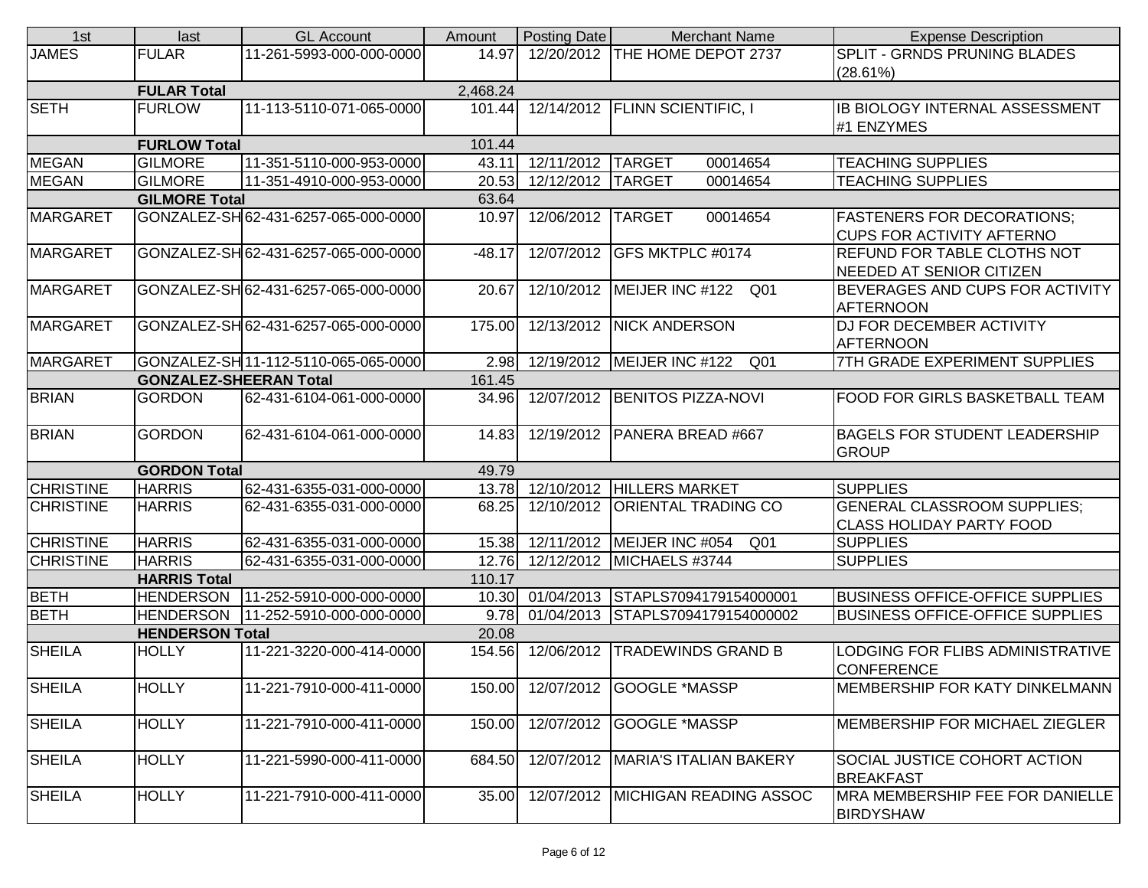| 1st                                     | last                   | <b>GL Account</b>                    | Amount   | Posting Date      | <b>Merchant Name</b>                            | <b>Expense Description</b>                                   |  |
|-----------------------------------------|------------------------|--------------------------------------|----------|-------------------|-------------------------------------------------|--------------------------------------------------------------|--|
| <b>JAMES</b>                            | <b>FULAR</b>           | 11-261-5993-000-000-0000             | 14.97    |                   | 12/20/2012 THE HOME DEPOT 2737                  | SPLIT - GRNDS PRUNING BLADES                                 |  |
|                                         |                        |                                      |          |                   |                                                 | (28.61%)                                                     |  |
|                                         | <b>FULAR Total</b>     |                                      | 2,468.24 |                   |                                                 |                                                              |  |
| <b>SETH</b>                             | <b>FURLOW</b>          | 11-113-5110-071-065-0000             | 101.44   |                   | 12/14/2012   FLINN SCIENTIFIC, I                | IB BIOLOGY INTERNAL ASSESSMENT<br>#1 ENZYMES                 |  |
|                                         | <b>FURLOW Total</b>    |                                      | 101.44   |                   |                                                 |                                                              |  |
| <b>MEGAN</b>                            | <b>GILMORE</b>         | 11-351-5110-000-953-0000             | 43.11    | 12/11/2012 TARGET | 00014654                                        | <b>TEACHING SUPPLIES</b>                                     |  |
| <b>MEGAN</b>                            | <b>GILMORE</b>         | 11-351-4910-000-953-0000             | 20.53    | 12/12/2012 TARGET | 00014654                                        | <b>TEACHING SUPPLIES</b>                                     |  |
|                                         | <b>GILMORE Total</b>   |                                      | 63.64    |                   |                                                 |                                                              |  |
| <b>MARGARET</b>                         |                        | GONZALEZ-SH 62-431-6257-065-000-0000 | 10.97    | 12/06/2012 TARGET | 00014654                                        | <b>FASTENERS FOR DECORATIONS;</b>                            |  |
|                                         |                        |                                      |          |                   |                                                 | <b>CUPS FOR ACTIVITY AFTERNO</b>                             |  |
| <b>MARGARET</b>                         |                        | GONZALEZ-SH 62-431-6257-065-000-0000 | $-48.17$ |                   | 12/07/2012 GFS MKTPLC #0174                     | <b>REFUND FOR TABLE CLOTHS NOT</b>                           |  |
|                                         |                        |                                      |          |                   |                                                 | NEEDED AT SENIOR CITIZEN                                     |  |
| <b>MARGARET</b>                         |                        | GONZALEZ-SH62-431-6257-065-000-0000  | 20.67    |                   | 12/10/2012   MEIJER INC #122<br>Q01             | BEVERAGES AND CUPS FOR ACTIVITY<br><b>AFTERNOON</b>          |  |
| MARGARET                                |                        | GONZALEZ-SH 62-431-6257-065-000-0000 | 175.00   |                   | 12/13/2012   NICK ANDERSON                      | <b>DJ FOR DECEMBER ACTIVITY</b>                              |  |
|                                         |                        |                                      |          |                   |                                                 | <b>AFTERNOON</b>                                             |  |
| <b>MARGARET</b>                         |                        | GONZALEZ-SH 11-112-5110-065-065-0000 | 2.98     |                   | 12/19/2012 MEIJER INC #122<br>Q01               | 7TH GRADE EXPERIMENT SUPPLIES                                |  |
| 161.45<br><b>GONZALEZ-SHEERAN Total</b> |                        |                                      |          |                   |                                                 |                                                              |  |
| <b>BRIAN</b>                            | <b>GORDON</b>          | 62-431-6104-061-000-0000             | 34.96    |                   | 12/07/2012 BENITOS PIZZA-NOVI                   | <b>FOOD FOR GIRLS BASKETBALL TEAM</b>                        |  |
| <b>BRIAN</b>                            | <b>GORDON</b>          | 62-431-6104-061-000-0000             | 14.83    |                   | 12/19/2012   PANERA BREAD #667                  | <b>BAGELS FOR STUDENT LEADERSHIP</b><br>GROUP                |  |
|                                         | <b>GORDON Total</b>    |                                      | 49.79    |                   |                                                 |                                                              |  |
| <b>CHRISTINE</b>                        | <b>HARRIS</b>          | 62-431-6355-031-000-0000             | 13.78    |                   | 12/10/2012 HILLERS MARKET                       | <b>SUPPLIES</b>                                              |  |
| <b>CHRISTINE</b>                        | <b>HARRIS</b>          | 62-431-6355-031-000-0000             | 68.25    |                   | 12/10/2012   ORIENTAL TRADING CO                | <b>GENERAL CLASSROOM SUPPLIES;</b>                           |  |
|                                         |                        |                                      |          |                   |                                                 | <b>CLASS HOLIDAY PARTY FOOD</b>                              |  |
| <b>CHRISTINE</b>                        | <b>HARRIS</b>          | 62-431-6355-031-000-0000             | 15.38    |                   | 12/11/2012   MEIJER INC #054<br>Q <sub>01</sub> | <b>SUPPLIES</b>                                              |  |
| <b>CHRISTINE</b>                        | <b>HARRIS</b>          | 62-431-6355-031-000-0000             | 12.76    |                   | 12/12/2012 MICHAELS #3744                       | <b>SUPPLIES</b>                                              |  |
|                                         | <b>HARRIS Total</b>    |                                      | 110.17   |                   |                                                 |                                                              |  |
| <b>BETH</b>                             | <b>HENDERSON</b>       | 11-252-5910-000-000-0000             | 10.30    |                   | 01/04/2013 STAPLS7094179154000001               | <b>BUSINESS OFFICE-OFFICE SUPPLIES</b>                       |  |
| <b>BETH</b>                             | <b>HENDERSON</b>       | 11-252-5910-000-000-0000             | 9.78     |                   | 01/04/2013 STAPLS7094179154000002               | <b>BUSINESS OFFICE-OFFICE SUPPLIES</b>                       |  |
|                                         | <b>HENDERSON Total</b> |                                      | 20.08    |                   |                                                 |                                                              |  |
| <b>SHEILA</b>                           | <b>HOLLY</b>           | 11-221-3220-000-414-0000             | 154.56   |                   | 12/06/2012   TRADEWINDS GRAND B                 | <b>LODGING FOR FLIBS ADMINISTRATIVE</b><br><b>CONFERENCE</b> |  |
| <b>SHEILA</b>                           | <b>HOLLY</b>           | 11-221-7910-000-411-0000             | 150.00   |                   | 12/07/2012 GOOGLE *MASSP                        | <b>IMEMBERSHIP FOR KATY DINKELMANN</b>                       |  |
| <b>SHEILA</b>                           | <b>HOLLY</b>           | 11-221-7910-000-411-0000             | 150.00   |                   | 12/07/2012 GOOGLE *MASSP                        | MEMBERSHIP FOR MICHAEL ZIEGLER                               |  |
| <b>SHEILA</b>                           | <b>HOLLY</b>           | 11-221-5990-000-411-0000             | 684.50   |                   | 12/07/2012   MARIA'S ITALIAN BAKERY             | SOCIAL JUSTICE COHORT ACTION<br><b>BREAKFAST</b>             |  |
| <b>SHEILA</b>                           | <b>HOLLY</b>           | 11-221-7910-000-411-0000             | 35.00    |                   | 12/07/2012   MICHIGAN READING ASSOC             | MRA MEMBERSHIP FEE FOR DANIELLE<br><b>BIRDYSHAW</b>          |  |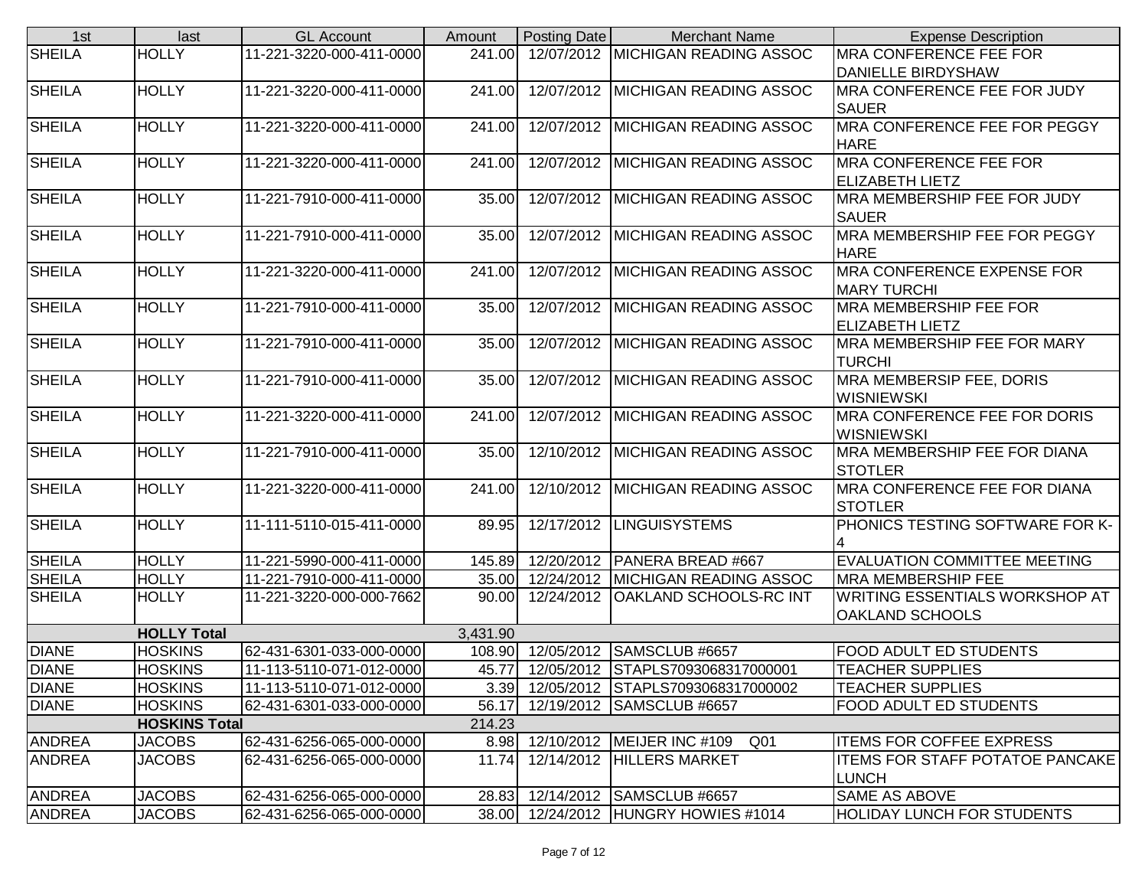| 1st           | last                 | <b>GL Account</b>        | Amount   | Posting Date | <b>Merchant Name</b>                   | <b>Expense Description</b>             |
|---------------|----------------------|--------------------------|----------|--------------|----------------------------------------|----------------------------------------|
| <b>SHEILA</b> | <b>HOLLY</b>         | 11-221-3220-000-411-0000 | 241.00   |              | 12/07/2012 MICHIGAN READING ASSOC      | <b>IMRA CONFERENCE FEE FOR</b>         |
|               |                      |                          |          |              |                                        | <b>DANIELLE BIRDYSHAW</b>              |
| <b>SHEILA</b> | <b>HOLLY</b>         | 11-221-3220-000-411-0000 | 241.00   |              | 12/07/2012   MICHIGAN READING ASSOC    | <b>MRA CONFERENCE FEE FOR JUDY</b>     |
|               |                      |                          |          |              |                                        | <b>SAUER</b>                           |
| <b>SHEILA</b> | <b>HOLLY</b>         | 11-221-3220-000-411-0000 | 241.00   |              | 12/07/2012 MICHIGAN READING ASSOC      | MRA CONFERENCE FEE FOR PEGGY           |
|               |                      |                          |          |              |                                        | <b>HARE</b>                            |
| <b>SHEILA</b> | <b>HOLLY</b>         | 11-221-3220-000-411-0000 | 241.00   |              | 12/07/2012 MICHIGAN READING ASSOC      | <b>MRA CONFERENCE FEE FOR</b>          |
|               |                      |                          |          |              |                                        | <b>ELIZABETH LIETZ</b>                 |
| <b>SHEILA</b> | <b>HOLLY</b>         | 11-221-7910-000-411-0000 | 35.00    |              | 12/07/2012 MICHIGAN READING ASSOC      | <b>MRA MEMBERSHIP FEE FOR JUDY</b>     |
|               |                      |                          |          |              |                                        | <b>SAUER</b>                           |
| <b>SHEILA</b> | <b>HOLLY</b>         | 11-221-7910-000-411-0000 | 35.00    |              | 12/07/2012   MICHIGAN READING ASSOC    | <b>IMRA MEMBERSHIP FEE FOR PEGGY</b>   |
|               |                      |                          |          |              |                                        | <b>HARE</b>                            |
| <b>SHEILA</b> | <b>HOLLY</b>         | 11-221-3220-000-411-0000 | 241.00   |              | 12/07/2012   MICHIGAN READING ASSOC    | <b>MRA CONFERENCE EXPENSE FOR</b>      |
|               |                      |                          |          |              |                                        | <b>MARY TURCHI</b>                     |
| <b>SHEILA</b> | <b>HOLLY</b>         | 11-221-7910-000-411-0000 | 35.00    |              | 12/07/2012 MICHIGAN READING ASSOC      | <b>MRA MEMBERSHIP FEE FOR</b>          |
|               |                      |                          |          |              |                                        | <b>ELIZABETH LIETZ</b>                 |
| <b>SHEILA</b> | <b>HOLLY</b>         | 11-221-7910-000-411-0000 | 35.00    |              | 12/07/2012   MICHIGAN READING ASSOC    | <b>MRA MEMBERSHIP FEE FOR MARY</b>     |
|               |                      |                          |          |              |                                        | <b>TURCHI</b>                          |
| <b>SHEILA</b> | <b>HOLLY</b>         | 11-221-7910-000-411-0000 | 35.00    |              | 12/07/2012   MICHIGAN READING ASSOC    | MRA MEMBERSIP FEE, DORIS               |
|               |                      |                          |          |              |                                        | <b>WISNIEWSKI</b>                      |
| <b>SHEILA</b> | <b>HOLLY</b>         | 11-221-3220-000-411-0000 | 241.00   |              | 12/07/2012 MICHIGAN READING ASSOC      | <b>MRA CONFERENCE FEE FOR DORIS</b>    |
|               |                      |                          |          |              |                                        | <b>WISNIEWSKI</b>                      |
| <b>SHEILA</b> | <b>HOLLY</b>         | 11-221-7910-000-411-0000 | 35.00    |              | 12/10/2012 MICHIGAN READING ASSOC      | <b>MRA MEMBERSHIP FEE FOR DIANA</b>    |
|               |                      |                          |          |              |                                        | <b>STOTLER</b>                         |
| <b>SHEILA</b> | <b>HOLLY</b>         | 11-221-3220-000-411-0000 | 241.00   |              | 12/10/2012 MICHIGAN READING ASSOC      | <b>MRA CONFERENCE FEE FOR DIANA</b>    |
|               |                      |                          |          |              |                                        | <b>STOTLER</b>                         |
| <b>SHEILA</b> | <b>HOLLY</b>         | 11-111-5110-015-411-0000 | 89.95    |              | 12/17/2012   LINGUISYSTEMS             | PHONICS TESTING SOFTWARE FOR K-        |
|               |                      |                          |          |              |                                        |                                        |
| <b>SHEILA</b> | <b>HOLLY</b>         | 11-221-5990-000-411-0000 | 145.89   |              | 12/20/2012   PANERA BREAD #667         | <b>EVALUATION COMMITTEE MEETING</b>    |
| <b>SHEILA</b> | <b>HOLLY</b>         | 11-221-7910-000-411-0000 | 35.00    |              | 12/24/2012 MICHIGAN READING ASSOC      | <b>MRA MEMBERSHIP FEE</b>              |
| <b>SHEILA</b> | <b>HOLLY</b>         | 11-221-3220-000-000-7662 | 90.00    |              | 12/24/2012   OAKLAND SCHOOLS-RC INT    | WRITING ESSENTIALS WORKSHOP AT         |
|               |                      |                          |          |              |                                        | <b>OAKLAND SCHOOLS</b>                 |
|               | <b>HOLLY Total</b>   |                          | 3,431.90 |              |                                        |                                        |
| <b>DIANE</b>  | <b>HOSKINS</b>       | 62-431-6301-033-000-0000 | 108.90   |              | 12/05/2012 SAMSCLUB #6657              | <b>FOOD ADULT ED STUDENTS</b>          |
| <b>DIANE</b>  | <b>HOSKINS</b>       | 11-113-5110-071-012-0000 | 45.77    |              | 12/05/2012 STAPLS7093068317000001      | <b>TEACHER SUPPLIES</b>                |
| <b>DIANE</b>  | <b>HOSKINS</b>       | 11-113-5110-071-012-0000 |          |              | 3.39 12/05/2012 STAPLS7093068317000002 | <b>TEACHER SUPPLIES</b>                |
| <b>DIANE</b>  | <b>HOSKINS</b>       | 62-431-6301-033-000-0000 | 56.17    |              | 12/19/2012 SAMSCLUB #6657              | <b>FOOD ADULT ED STUDENTS</b>          |
|               | <b>HOSKINS Total</b> |                          | 214.23   |              |                                        |                                        |
| <b>ANDREA</b> | <b>JACOBS</b>        | 62-431-6256-065-000-0000 |          |              | 8.98 12/10/2012 MEIJER INC #109<br>Q01 | <b>ITEMS FOR COFFEE EXPRESS</b>        |
| <b>ANDREA</b> | <b>JACOBS</b>        | 62-431-6256-065-000-0000 | 11.74    |              | 12/14/2012 HILLERS MARKET              | <b>ITEMS FOR STAFF POTATOE PANCAKE</b> |
|               |                      |                          |          |              |                                        | <b>LUNCH</b>                           |
| <b>ANDREA</b> | <b>JACOBS</b>        | 62-431-6256-065-000-0000 | 28.83    |              | 12/14/2012 SAMSCLUB #6657              | <b>SAME AS ABOVE</b>                   |
| <b>ANDREA</b> | <b>JACOBS</b>        | 62-431-6256-065-000-0000 | 38.00    |              | 12/24/2012 HUNGRY HOWIES #1014         | <b>HOLIDAY LUNCH FOR STUDENTS</b>      |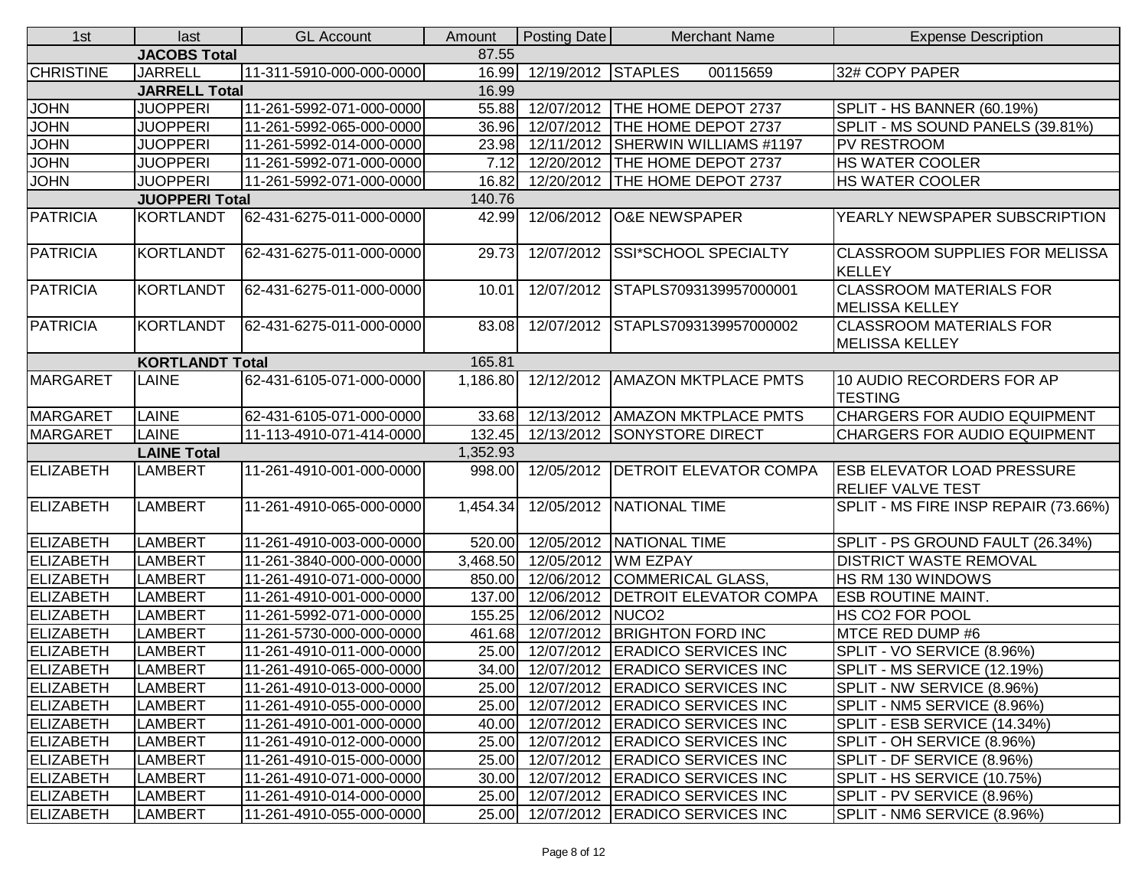| 1st              | last                   | <b>GL Account</b>        | Amount   | Posting Date       | <b>Merchant Name</b>                  | <b>Expense Description</b>                                    |
|------------------|------------------------|--------------------------|----------|--------------------|---------------------------------------|---------------------------------------------------------------|
|                  | <b>JACOBS Total</b>    |                          | 87.55    |                    |                                       |                                                               |
| <b>CHRISTINE</b> | <b>JARRELL</b>         | 11-311-5910-000-000-0000 | 16.99    | 12/19/2012 STAPLES | 00115659                              | 32# COPY PAPER                                                |
|                  | <b>JARRELL Total</b>   |                          | 16.99    |                    |                                       |                                                               |
| <b>JOHN</b>      | <b>JUOPPERI</b>        | 11-261-5992-071-000-0000 | 55.88    |                    | 12/07/2012   THE HOME DEPOT 2737      | SPLIT - HS BANNER (60.19%)                                    |
| <b>JOHN</b>      | <b>JUOPPERI</b>        | 11-261-5992-065-000-0000 | 36.96    |                    | 12/07/2012 THE HOME DEPOT 2737        | SPLIT - MS SOUND PANELS (39.81%)                              |
| <b>JOHN</b>      | <b>JUOPPERI</b>        | 11-261-5992-014-000-0000 | 23.98    |                    | 12/11/2012 SHERWIN WILLIAMS #1197     | PV RESTROOM                                                   |
| <b>JOHN</b>      | <b>JUOPPERI</b>        | 11-261-5992-071-000-0000 | 7.12     |                    | 12/20/2012   THE HOME DEPOT 2737      | <b>HS WATER COOLER</b>                                        |
| <b>JOHN</b>      | <b>JUOPPERI</b>        | 11-261-5992-071-000-0000 | 16.82    |                    | 12/20/2012 THE HOME DEPOT 2737        | <b>HS WATER COOLER</b>                                        |
|                  | <b>JUOPPERI Total</b>  |                          | 140.76   |                    |                                       |                                                               |
| <b>PATRICIA</b>  | <b>KORTLANDT</b>       | 62-431-6275-011-000-0000 | 42.99    |                    | 12/06/2012 O&E NEWSPAPER              | YEARLY NEWSPAPER SUBSCRIPTION                                 |
| <b>PATRICIA</b>  | KORTLANDT              | 62-431-6275-011-000-0000 | 29.73    | 12/07/2012         | <b>SSI*SCHOOL SPECIALTY</b>           | <b>CLASSROOM SUPPLIES FOR MELISSA</b><br><b>KELLEY</b>        |
| PATRICIA         | <b>KORTLANDT</b>       | 62-431-6275-011-000-0000 | 10.01    |                    | 12/07/2012 STAPLS7093139957000001     | <b>CLASSROOM MATERIALS FOR</b><br><b>MELISSA KELLEY</b>       |
| <b>PATRICIA</b>  | KORTLANDT              | 62-431-6275-011-000-0000 | 83.08    |                    | 12/07/2012 STAPLS7093139957000002     | <b>CLASSROOM MATERIALS FOR</b><br><b>MELISSA KELLEY</b>       |
|                  | <b>KORTLANDT Total</b> |                          | 165.81   |                    |                                       |                                                               |
| <b>MARGARET</b>  | <b>LAINE</b>           | 62-431-6105-071-000-0000 | 1,186.80 |                    | 12/12/2012 AMAZON MKTPLACE PMTS       | 10 AUDIO RECORDERS FOR AP<br><b>TESTING</b>                   |
| <b>MARGARET</b>  | LAINE                  | 62-431-6105-071-000-0000 | 33.68    |                    | 12/13/2012   AMAZON MKTPLACE PMTS     | <b>CHARGERS FOR AUDIO EQUIPMENT</b>                           |
| <b>MARGARET</b>  | <b>LAINE</b>           | 11-113-4910-071-414-0000 | 132.45   |                    | 12/13/2012 SONYSTORE DIRECT           | CHARGERS FOR AUDIO EQUIPMENT                                  |
|                  | <b>LAINE Total</b>     |                          | 1,352.93 |                    |                                       |                                                               |
| <b>ELIZABETH</b> | <b>LAMBERT</b>         | 11-261-4910-001-000-0000 | 998.00   |                    | 12/05/2012   DETROIT ELEVATOR COMPA   | <b>ESB ELEVATOR LOAD PRESSURE</b><br><b>RELIEF VALVE TEST</b> |
| <b>ELIZABETH</b> | <b>LAMBERT</b>         | 11-261-4910-065-000-0000 | 1,454.34 |                    | 12/05/2012   NATIONAL TIME            | SPLIT - MS FIRE INSP REPAIR (73.66%)                          |
| <b>ELIZABETH</b> | <b>LAMBERT</b>         | 11-261-4910-003-000-0000 | 520.00   |                    | 12/05/2012   NATIONAL TIME            | SPLIT - PS GROUND FAULT (26.34%)                              |
| <b>ELIZABETH</b> | <b>LAMBERT</b>         | 11-261-3840-000-000-0000 | 3,468.50 |                    | 12/05/2012 WM EZPAY                   | <b>DISTRICT WASTE REMOVAL</b>                                 |
| <b>ELIZABETH</b> | <b>LAMBERT</b>         | 11-261-4910-071-000-0000 | 850.00   |                    | 12/06/2012 COMMERICAL GLASS,          | HS RM 130 WINDOWS                                             |
| <b>ELIZABETH</b> | <b>LAMBERT</b>         | 11-261-4910-001-000-0000 | 137.00   |                    | 12/06/2012   DETROIT ELEVATOR COMPA   | <b>ESB ROUTINE MAINT.</b>                                     |
| <b>ELIZABETH</b> | LAMBERT                | 11-261-5992-071-000-0000 | 155.25   | 12/06/2012 NUCO2   |                                       | <b>HS CO2 FOR POOL</b>                                        |
| <b>ELIZABETH</b> | LAMBERT                | 11-261-5730-000-000-0000 | 461.68   |                    | 12/07/2012 BRIGHTON FORD INC          | MTCE RED DUMP #6                                              |
| <b>ELIZABETH</b> | <b>LAMBERT</b>         | 11-261-4910-011-000-0000 | 25.00    |                    | 12/07/2012 ERADICO SERVICES INC       | SPLIT - VO SERVICE (8.96%)                                    |
| ELIZABETH        | <b>LAMBERT</b>         | 11-261-4910-065-000-0000 | 34.00    |                    | 12/07/2012 ERADICO SERVICES INC       | SPLIT - MS SERVICE (12.19%)                                   |
| ELIZABETH        | <b>LAMBERT</b>         | 11-261-4910-013-000-0000 |          |                    | 25.00 12/07/2012 ERADICO SERVICES INC | SPLIT - NW SERVICE (8.96%)                                    |
| ELIZABETH        | <b>LAMBERT</b>         | 11-261-4910-055-000-0000 | 25.00    |                    | 12/07/2012 ERADICO SERVICES INC       | SPLIT - NM5 SERVICE (8.96%)                                   |
| ELIZABETH        | LAMBERT                | 11-261-4910-001-000-0000 |          |                    | 40.00 12/07/2012 ERADICO SERVICES INC | SPLIT - ESB SERVICE (14.34%)                                  |
| ELIZABETH        | <b>LAMBERT</b>         | 11-261-4910-012-000-0000 | 25.00    |                    | 12/07/2012 ERADICO SERVICES INC       | SPLIT - OH SERVICE (8.96%)                                    |
| ELIZABETH        | <b>LAMBERT</b>         | 11-261-4910-015-000-0000 | 25.00    |                    | 12/07/2012 ERADICO SERVICES INC       | SPLIT - DF SERVICE (8.96%)                                    |
| <b>ELIZABETH</b> | LAMBERT                | 11-261-4910-071-000-0000 | 30.00    |                    | 12/07/2012 ERADICO SERVICES INC       | SPLIT - HS SERVICE (10.75%)                                   |
| ELIZABETH        | <b>LAMBERT</b>         | 11-261-4910-014-000-0000 |          |                    | 25.00 12/07/2012 ERADICO SERVICES INC | SPLIT - PV SERVICE (8.96%)                                    |
| <b>ELIZABETH</b> | <b>LAMBERT</b>         | 11-261-4910-055-000-0000 | 25.00    |                    | 12/07/2012 ERADICO SERVICES INC       | SPLIT - NM6 SERVICE (8.96%)                                   |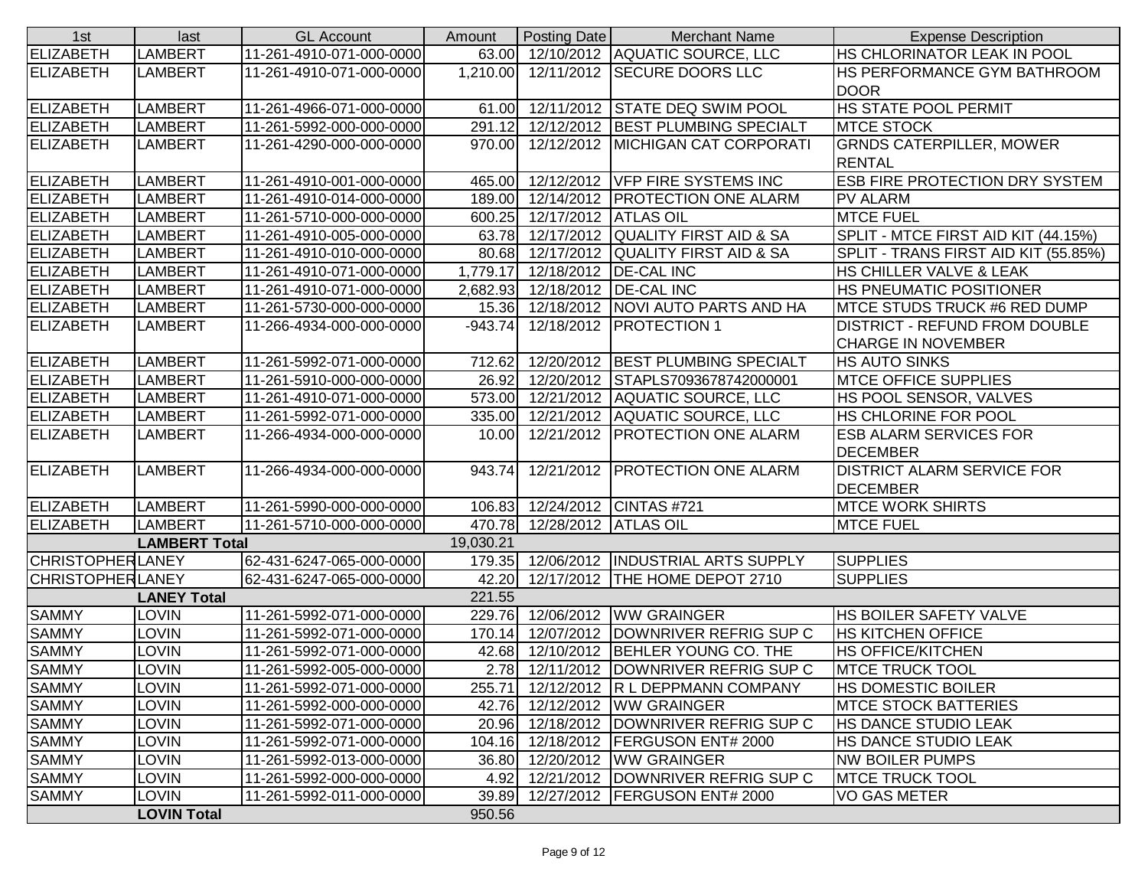| 1st                     | last                 | <b>GL Account</b>        | Amount    | Posting Date           | <b>Merchant Name</b>                   | <b>Expense Description</b>                           |
|-------------------------|----------------------|--------------------------|-----------|------------------------|----------------------------------------|------------------------------------------------------|
| <b>ELIZABETH</b>        | <b>LAMBERT</b>       | 11-261-4910-071-000-0000 |           |                        | 63.00 12/10/2012 AQUATIC SOURCE, LLC   | <b>HS CHLORINATOR LEAK IN POOL</b>                   |
| <b>ELIZABETH</b>        | <b>LAMBERT</b>       | 11-261-4910-071-000-0000 | 1,210.00  |                        | 12/11/2012 SECURE DOORS LLC            | <b>IHS PERFORMANCE GYM BATHROOM</b><br><b>DOOR</b>   |
| <b>ELIZABETH</b>        | <b>LAMBERT</b>       | 11-261-4966-071-000-0000 | 61.00     |                        | 12/11/2012 STATE DEQ SWIM POOL         | <b>HS STATE POOL PERMIT</b>                          |
| ELIZABETH               | <b>LAMBERT</b>       | 11-261-5992-000-000-0000 | 291.12    |                        | 12/12/2012 BEST PLUMBING SPECIALT      | <b>MTCE STOCK</b>                                    |
| ELIZABETH               | <b>LAMBERT</b>       | 11-261-4290-000-000-0000 | 970.00    |                        | 12/12/2012 MICHIGAN CAT CORPORATI      | <b>GRNDS CATERPILLER, MOWER</b>                      |
|                         |                      |                          |           |                        |                                        | <b>RENTAL</b>                                        |
| <b>ELIZABETH</b>        | <b>LAMBERT</b>       | 11-261-4910-001-000-0000 | 465.00    |                        | 12/12/2012 VFP FIRE SYSTEMS INC        | <b>ESB FIRE PROTECTION DRY SYSTEM</b>                |
| <b>ELIZABETH</b>        | <b>LAMBERT</b>       | 11-261-4910-014-000-0000 |           |                        | 189.00 12/14/2012 PROTECTION ONE ALARM | <b>PV ALARM</b>                                      |
| <b>ELIZABETH</b>        | <b>LAMBERT</b>       | 11-261-5710-000-000-0000 | 600.25    | 12/17/2012 ATLAS OIL   |                                        | <b>MTCE FUEL</b>                                     |
| <b>ELIZABETH</b>        | <b>LAMBERT</b>       | 11-261-4910-005-000-0000 | 63.78     |                        | 12/17/2012 QUALITY FIRST AID & SA      | SPLIT - MTCE FIRST AID KIT (44.15%)                  |
| <b>ELIZABETH</b>        | <b>LAMBERT</b>       | 11-261-4910-010-000-0000 | 80.68     | 12/17/2012             | <b>QUALITY FIRST AID &amp; SA</b>      | SPLIT - TRANS FIRST AID KIT (55.85%)                 |
| <b>ELIZABETH</b>        | <b>LAMBERT</b>       | 11-261-4910-071-000-0000 | 1,779.17  |                        | 12/18/2012   DE-CAL INC                | <b>HS CHILLER VALVE &amp; LEAK</b>                   |
| <b>ELIZABETH</b>        | <b>LAMBERT</b>       | 11-261-4910-071-000-0000 | 2,682.93  |                        | 12/18/2012   DE-CAL INC                | <b>HS PNEUMATIC POSITIONER</b>                       |
| <b>ELIZABETH</b>        | <b>LAMBERT</b>       | 11-261-5730-000-000-0000 | 15.36     |                        | 12/18/2012   NOVI AUTO PARTS AND HA    | MTCE STUDS TRUCK #6 RED DUMP                         |
| ELIZABETH               | <b>LAMBERT</b>       | 11-266-4934-000-000-0000 | $-943.74$ |                        | 12/18/2012   PROTECTION 1              | <b>DISTRICT - REFUND FROM DOUBLE</b>                 |
|                         |                      |                          |           |                        |                                        | <b>CHARGE IN NOVEMBER</b>                            |
| ELIZABETH               | <b>LAMBERT</b>       | 11-261-5992-071-000-0000 | 712.62    |                        | 12/20/2012 BEST PLUMBING SPECIALT      | <b>HS AUTO SINKS</b>                                 |
| <b>ELIZABETH</b>        | <b>LAMBERT</b>       | 11-261-5910-000-000-0000 | 26.92     |                        | 12/20/2012 STAPLS7093678742000001      | <b>MTCE OFFICE SUPPLIES</b>                          |
| <b>ELIZABETH</b>        | <b>LAMBERT</b>       | 11-261-4910-071-000-0000 | 573.00    |                        | 12/21/2012 AQUATIC SOURCE, LLC         | <b>HS POOL SENSOR, VALVES</b>                        |
| <b>ELIZABETH</b>        | <b>LAMBERT</b>       | 11-261-5992-071-000-0000 | 335.00    |                        | 12/21/2012 AQUATIC SOURCE, LLC         | <b>HS CHLORINE FOR POOL</b>                          |
| <b>ELIZABETH</b>        | <b>LAMBERT</b>       | 11-266-4934-000-000-0000 | 10.00     |                        | 12/21/2012   PROTECTION ONE ALARM      | <b>ESB ALARM SERVICES FOR</b><br><b>DECEMBER</b>     |
| ELIZABETH               | <b>LAMBERT</b>       | 11-266-4934-000-000-0000 | 943.74    |                        | 12/21/2012   PROTECTION ONE ALARM      | <b>DISTRICT ALARM SERVICE FOR</b><br><b>DECEMBER</b> |
| <b>ELIZABETH</b>        | <b>LAMBERT</b>       | 11-261-5990-000-000-0000 | 106.83    |                        | 12/24/2012 CINTAS #721                 | <b>MTCE WORK SHIRTS</b>                              |
| <b>ELIZABETH</b>        | <b>LAMBERT</b>       | 11-261-5710-000-000-0000 | 470.78    | 12/28/2012   ATLAS OIL |                                        | <b>MTCE FUEL</b>                                     |
|                         | <b>LAMBERT Total</b> |                          | 19,030.21 |                        |                                        |                                                      |
| <b>CHRISTOPHERLANEY</b> |                      | 62-431-6247-065-000-0000 | 179.35    |                        | 12/06/2012   INDUSTRIAL ARTS SUPPLY    | <b>SUPPLIES</b>                                      |
| <b>CHRISTOPHERLANEY</b> |                      | 62-431-6247-065-000-0000 | 42.20     |                        | 12/17/2012 THE HOME DEPOT 2710         | <b>SUPPLIES</b>                                      |
|                         | <b>LANEY Total</b>   |                          | 221.55    |                        |                                        |                                                      |
| <b>SAMMY</b>            | <b>LOVIN</b>         | 11-261-5992-071-000-0000 | 229.76    |                        | 12/06/2012 WW GRAINGER                 | <b>HS BOILER SAFETY VALVE</b>                        |
| <b>SAMMY</b>            | <b>LOVIN</b>         | 11-261-5992-071-000-0000 | 170.14    |                        | 12/07/2012 DOWNRIVER REFRIG SUP C      | <b>HS KITCHEN OFFICE</b>                             |
| <b>SAMMY</b>            | <b>LOVIN</b>         | 11-261-5992-071-000-0000 |           |                        | 42.68 12/10/2012 BEHLER YOUNG CO. THE  | <b>HS OFFICE/KITCHEN</b>                             |
| <b>SAMMY</b>            | <b>LOVIN</b>         | 11-261-5992-005-000-0000 |           |                        | 2.78 12/11/2012 DOWNRIVER REFRIG SUP C | <b>MTCE TRUCK TOOL</b>                               |
| <b>SAMMY</b>            | <b>LOVIN</b>         | 11-261-5992-071-000-0000 | 255.71    |                        | 12/12/2012 R L DEPPMANN COMPANY        | <b>HS DOMESTIC BOILER</b>                            |
| <b>SAMMY</b>            | <b>LOVIN</b>         | 11-261-5992-000-000-0000 | 42.76     |                        | 12/12/2012   WW GRAINGER               | <b>MTCE STOCK BATTERIES</b>                          |
| <b>SAMMY</b>            | <b>LOVIN</b>         | 11-261-5992-071-000-0000 | 20.96     |                        | 12/18/2012   DOWNRIVER REFRIG SUP C    | <b>HS DANCE STUDIO LEAK</b>                          |
| <b>SAMMY</b>            | <b>LOVIN</b>         | 11-261-5992-071-000-0000 | 104.16    |                        | 12/18/2012   FERGUSON ENT# 2000        | <b>HS DANCE STUDIO LEAK</b>                          |
| <b>SAMMY</b>            | LOVIN                | 11-261-5992-013-000-0000 | 36.80     |                        | 12/20/2012 WW GRAINGER                 | <b>NW BOILER PUMPS</b>                               |
| <b>SAMMY</b>            | LOVIN                | 11-261-5992-000-000-0000 | 4.92      |                        | 12/21/2012   DOWNRIVER REFRIG SUP C    | <b>MTCE TRUCK TOOL</b>                               |
| <b>SAMMY</b>            | LOVIN                | 11-261-5992-011-000-0000 | 39.89     |                        | 12/27/2012   FERGUSON ENT# 2000        | VO GAS METER                                         |
|                         | <b>LOVIN Total</b>   |                          | 950.56    |                        |                                        |                                                      |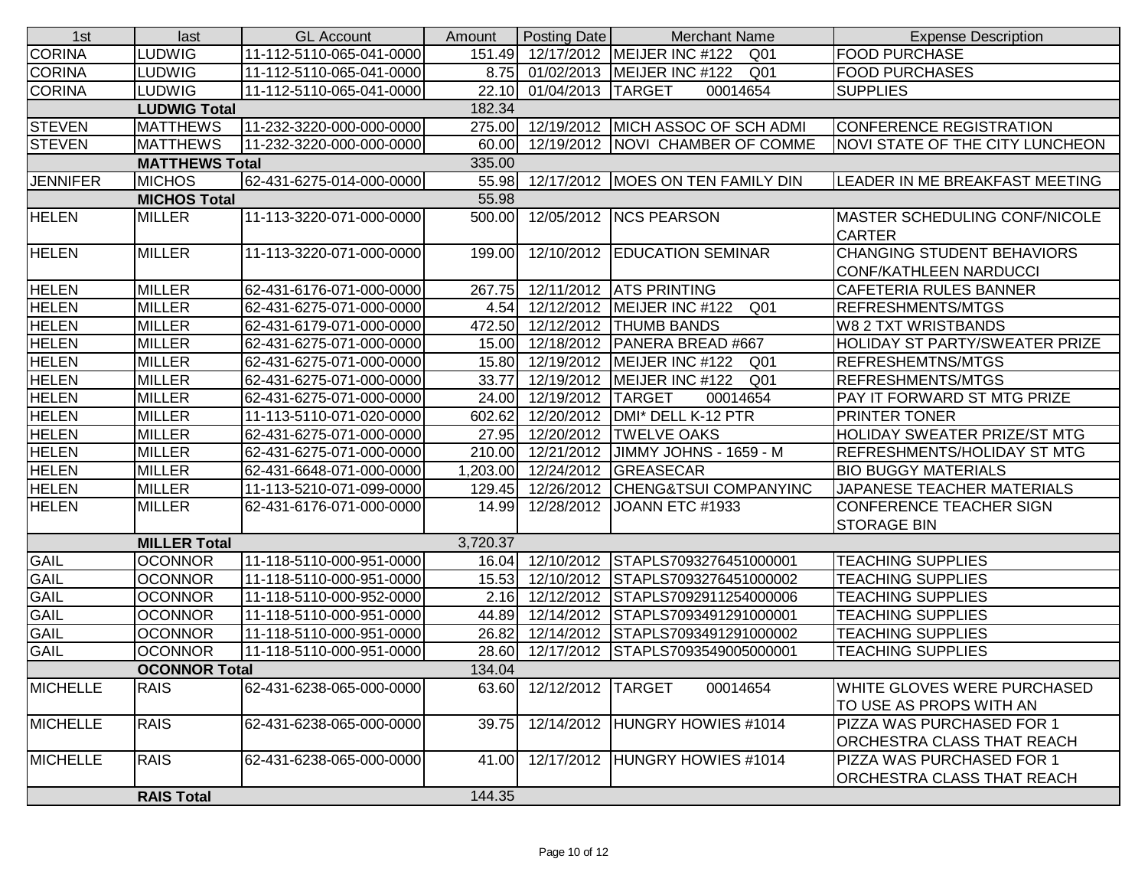| 1st                   | last                 | <b>GL Account</b>        | Amount   | Posting Date        | <b>Merchant Name</b>                            | <b>Expense Description</b>                                         |
|-----------------------|----------------------|--------------------------|----------|---------------------|-------------------------------------------------|--------------------------------------------------------------------|
| <b>CORINA</b>         | <b>LUDWIG</b>        | 11-112-5110-065-041-0000 |          |                     | 151.49 12/17/2012 MEIJER INC #122<br>Q01        | <b>FOOD PURCHASE</b>                                               |
| <b>CORINA</b>         | <b>LUDWIG</b>        | 11-112-5110-065-041-0000 | 8.75     |                     | 01/02/2013   MEIJER INC #122<br>Q01             | <b>FOOD PURCHASES</b>                                              |
| <b>CORINA</b>         | <b>LUDWIG</b>        | 11-112-5110-065-041-0000 | 22.10    | 01/04/2013 TARGET   | 00014654                                        | <b>SUPPLIES</b>                                                    |
|                       | <b>LUDWIG Total</b>  |                          | 182.34   |                     |                                                 |                                                                    |
| <b>STEVEN</b>         | <b>MATTHEWS</b>      | 11-232-3220-000-000-0000 | 275.00   |                     | 12/19/2012 MICH ASSOC OF SCH ADMI               | CONFERENCE REGISTRATION                                            |
| <b>STEVEN</b>         | <b>MATTHEWS</b>      | 11-232-3220-000-000-0000 | 60.00    |                     | 12/19/2012   NOVI CHAMBER OF COMME              | <b>NOVI STATE OF THE CITY LUNCHEON</b>                             |
| <b>MATTHEWS Total</b> |                      |                          |          |                     |                                                 |                                                                    |
| <b>JENNIFER</b>       | <b>MICHOS</b>        | 62-431-6275-014-000-0000 | 55.98    |                     | 12/17/2012   MOES ON TEN FAMILY DIN             | LEADER IN ME BREAKFAST MEETING                                     |
|                       | <b>MICHOS Total</b>  |                          | 55.98    |                     |                                                 |                                                                    |
| <b>HELEN</b>          | <b>MILLER</b>        | 11-113-3220-071-000-0000 | 500.00   |                     | 12/05/2012 NCS PEARSON                          | <b>MASTER SCHEDULING CONF/NICOLE</b><br><b>CARTER</b>              |
| <b>HELEN</b>          | <b>MILLER</b>        | 11-113-3220-071-000-0000 | 199.00   |                     | 12/10/2012 EDUCATION SEMINAR                    | <b>CHANGING STUDENT BEHAVIORS</b><br><b>CONF/KATHLEEN NARDUCCI</b> |
| <b>HELEN</b>          | <b>MILLER</b>        | 62-431-6176-071-000-0000 | 267.75   |                     | 12/11/2012 ATS PRINTING                         | <b>CAFETERIA RULES BANNER</b>                                      |
| <b>HELEN</b>          | <b>MILLER</b>        | 62-431-6275-071-000-0000 | 4.54     |                     | 12/12/2012   MEIJER INC #122<br>Q <sub>01</sub> | <b>REFRESHMENTS/MTGS</b>                                           |
| <b>HELEN</b>          | <b>MILLER</b>        | 62-431-6179-071-000-0000 | 472.50   |                     | 12/12/2012   THUMB BANDS                        | <b>W8 2 TXT WRISTBANDS</b>                                         |
| <b>HELEN</b>          | <b>MILLER</b>        | 62-431-6275-071-000-0000 | 15.00    |                     | 12/18/2012   PANERA BREAD #667                  | HOLIDAY ST PARTY/SWEATER PRIZE                                     |
| <b>HELEN</b>          | <b>MILLER</b>        | 62-431-6275-071-000-0000 | 15.80    |                     | 12/19/2012   MEIJER INC #122<br>Q <sub>01</sub> | <b>REFRESHEMTNS/MTGS</b>                                           |
| <b>HELEN</b>          | <b>MILLER</b>        | 62-431-6275-071-000-0000 | 33.77    |                     | 12/19/2012   MEIJER INC #122<br>Q <sub>01</sub> | <b>REFRESHMENTS/MTGS</b>                                           |
| <b>HELEN</b>          | <b>MILLER</b>        | 62-431-6275-071-000-0000 | 24.00    | 12/19/2012 TARGET   | 00014654                                        | PAY IT FORWARD ST MTG PRIZE                                        |
| <b>HELEN</b>          | <b>MILLER</b>        | 11-113-5110-071-020-0000 | 602.62   |                     | 12/20/2012   DMI* DELL K-12 PTR                 | <b>PRINTER TONER</b>                                               |
| <b>HELEN</b>          | <b>MILLER</b>        | 62-431-6275-071-000-0000 |          |                     | 27.95 12/20/2012 TWELVE OAKS                    | <b>HOLIDAY SWEATER PRIZE/ST MTG</b>                                |
| <b>HELEN</b>          | <b>MILLER</b>        | 62-431-6275-071-000-0000 | 210.00   |                     | 12/21/2012 JIMMY JOHNS - 1659 - M               | <b>REFRESHMENTS/HOLIDAY ST MTG</b>                                 |
| <b>HELEN</b>          | <b>MILLER</b>        | 62-431-6648-071-000-0000 | 1,203.00 |                     | 12/24/2012 GREASECAR                            | <b>BIO BUGGY MATERIALS</b>                                         |
| <b>HELEN</b>          | <b>MILLER</b>        | 11-113-5210-071-099-0000 | 129.45   |                     | 12/26/2012 CHENG&TSUI COMPANYINC                | JAPANESE TEACHER MATERIALS                                         |
| <b>HELEN</b>          | <b>MILLER</b>        | 62-431-6176-071-000-0000 | 14.99    |                     | 12/28/2012 JOANN ETC #1933                      | <b>CONFERENCE TEACHER SIGN</b><br><b>STORAGE BIN</b>               |
|                       | <b>MILLER Total</b>  |                          | 3,720.37 |                     |                                                 |                                                                    |
| <b>GAIL</b>           | <b>OCONNOR</b>       | 11-118-5110-000-951-0000 | 16.04    |                     | 12/10/2012 STAPLS7093276451000001               | <b>TEACHING SUPPLIES</b>                                           |
| <b>GAIL</b>           | <b>OCONNOR</b>       | 11-118-5110-000-951-0000 | 15.53    |                     | 12/10/2012 STAPLS7093276451000002               | <b>TEACHING SUPPLIES</b>                                           |
| <b>GAIL</b>           | <b>OCONNOR</b>       | 11-118-5110-000-952-0000 | 2.16     |                     | 12/12/2012 STAPLS7092911254000006               | <b>TEACHING SUPPLIES</b>                                           |
| <b>GAIL</b>           | <b>OCONNOR</b>       | 11-118-5110-000-951-0000 | 44.89    |                     | 12/14/2012 STAPLS7093491291000001               | <b>TEACHING SUPPLIES</b>                                           |
| <b>GAIL</b>           | <b>OCONNOR</b>       | 11-118-5110-000-951-0000 | 26.82    |                     | 12/14/2012 STAPLS7093491291000002               | <b>TEACHING SUPPLIES</b>                                           |
| <b>GAIL</b>           | <b>OCONNOR</b>       | 11-118-5110-000-951-0000 | 28.60    |                     | 12/17/2012 STAPLS7093549005000001               | <b>TEACHING SUPPLIES</b>                                           |
|                       | <b>OCONNOR Total</b> |                          | 134.04   |                     |                                                 |                                                                    |
| <b>MICHELLE</b>       | <b>RAIS</b>          | 62-431-6238-065-000-0000 | 63.60    | 12/12/2012   TARGET | 00014654                                        | WHITE GLOVES WERE PURCHASED<br>TO USE AS PROPS WITH AN             |
| <b>MICHELLE</b>       | <b>RAIS</b>          | 62-431-6238-065-000-0000 | 39.75    |                     | 12/14/2012 HUNGRY HOWIES #1014                  | PIZZA WAS PURCHASED FOR 1<br>ORCHESTRA CLASS THAT REACH            |
| <b>MICHELLE</b>       | <b>RAIS</b>          | 62-431-6238-065-000-0000 | 41.00    |                     | 12/17/2012 HUNGRY HOWIES #1014                  | PIZZA WAS PURCHASED FOR 1<br>ORCHESTRA CLASS THAT REACH            |
|                       | <b>RAIS Total</b>    |                          | 144.35   |                     |                                                 |                                                                    |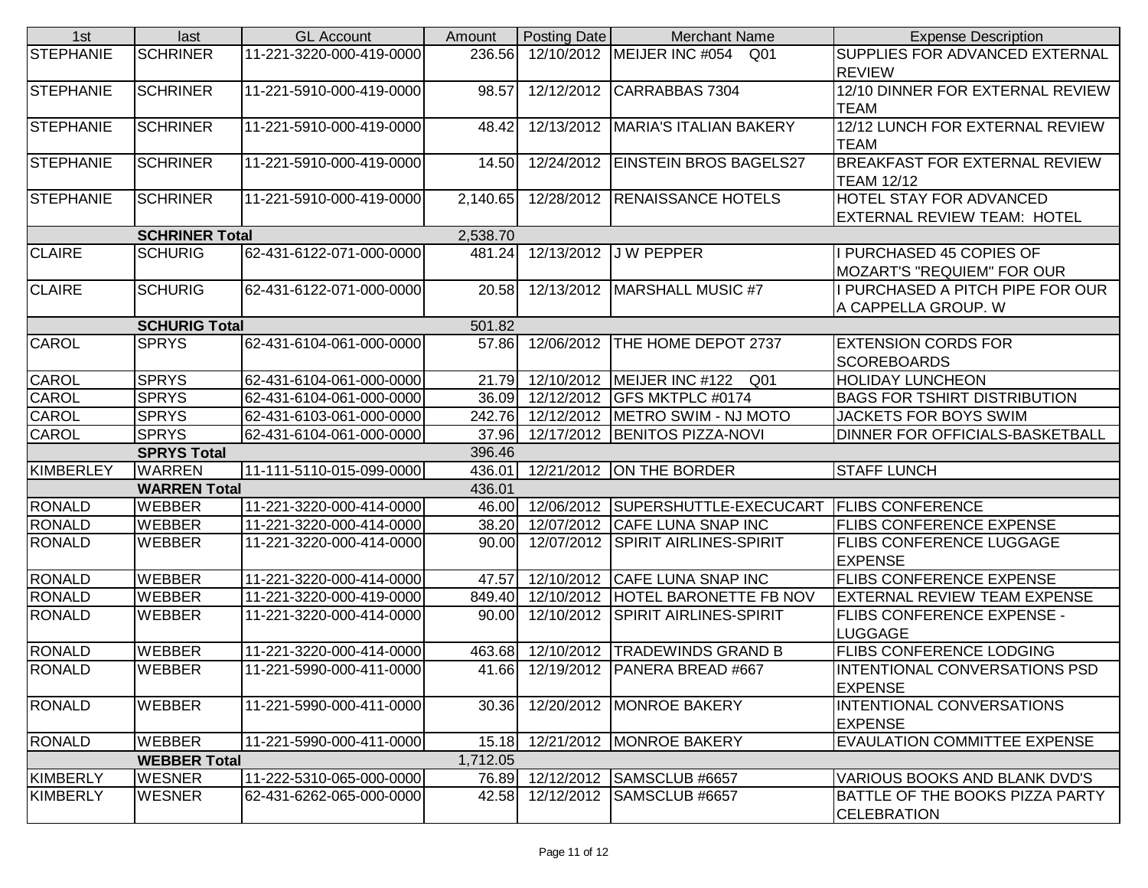| 1st              | last                  | <b>GL Account</b>        | Amount   | Posting Date | <b>Merchant Name</b>                                     | <b>Expense Description</b>             |
|------------------|-----------------------|--------------------------|----------|--------------|----------------------------------------------------------|----------------------------------------|
| <b>STEPHANIE</b> | <b>SCHRINER</b>       | 11-221-3220-000-419-0000 | 236.56   |              | 12/10/2012 MEIJER INC #054<br>Q01                        | SUPPLIES FOR ADVANCED EXTERNAL         |
|                  |                       |                          |          |              |                                                          | <b>REVIEW</b>                          |
| STEPHANIE        | <b>SCHRINER</b>       | 11-221-5910-000-419-0000 | 98.57    | 12/12/2012   | CARRABBAS 7304                                           | 12/10 DINNER FOR EXTERNAL REVIEW       |
|                  |                       |                          |          |              |                                                          | <b>TEAM</b>                            |
| <b>STEPHANIE</b> | <b>SCHRINER</b>       | 11-221-5910-000-419-0000 | 48.42    |              | 12/13/2012   MARIA'S ITALIAN BAKERY                      | 12/12 LUNCH FOR EXTERNAL REVIEW        |
|                  |                       |                          |          |              |                                                          | TEAM                                   |
| STEPHANIE        | <b>SCHRINER</b>       | 11-221-5910-000-419-0000 | 14.50    |              | 12/24/2012   EINSTEIN BROS BAGELS27                      | <b>BREAKFAST FOR EXTERNAL REVIEW</b>   |
|                  |                       |                          |          |              |                                                          | <b>TEAM 12/12</b>                      |
| STEPHANIE        | <b>SCHRINER</b>       | 11-221-5910-000-419-0000 | 2,140.65 |              | 12/28/2012 RENAISSANCE HOTELS                            | HOTEL STAY FOR ADVANCED                |
|                  |                       |                          |          |              |                                                          | EXTERNAL REVIEW TEAM: HOTEL            |
|                  | <b>SCHRINER Total</b> |                          | 2,538.70 |              |                                                          |                                        |
| <b>CLAIRE</b>    | <b>SCHURIG</b>        | 62-431-6122-071-000-0000 | 481.24   |              | 12/13/2012 J W PEPPER                                    | I PURCHASED 45 COPIES OF               |
|                  |                       |                          |          |              |                                                          | <b>MOZART'S "REQUIEM" FOR OUR</b>      |
| <b>CLAIRE</b>    | <b>SCHURIG</b>        | 62-431-6122-071-000-0000 | 20.58    |              | 12/13/2012   MARSHALL MUSIC #7                           | I PURCHASED A PITCH PIPE FOR OUR       |
|                  |                       |                          |          |              |                                                          | A CAPPELLA GROUP. W                    |
|                  | <b>SCHURIG Total</b>  |                          | 501.82   |              |                                                          |                                        |
| <b>CAROL</b>     | <b>SPRYS</b>          | 62-431-6104-061-000-0000 |          |              | 57.86 12/06/2012 THE HOME DEPOT 2737                     | <b>EXTENSION CORDS FOR</b>             |
|                  |                       |                          |          |              |                                                          | <b>SCOREBOARDS</b>                     |
| CAROL            | <b>SPRYS</b>          | 62-431-6104-061-000-0000 | 21.79    |              | 12/10/2012 MEIJER INC #122<br>Q01                        | <b>HOLIDAY LUNCHEON</b>                |
| <b>CAROL</b>     | <b>SPRYS</b>          | 62-431-6104-061-000-0000 |          |              | 36.09 12/12/2012 GFS MKTPLC #0174                        | <b>BAGS FOR TSHIRT DISTRIBUTION</b>    |
| <b>CAROL</b>     | <b>SPRYS</b>          | 62-431-6103-061-000-0000 | 242.76   |              | 12/12/2012   METRO SWIM - NJ MOTO                        | JACKETS FOR BOYS SWIM                  |
| <b>CAROL</b>     | <b>SPRYS</b>          | 62-431-6104-061-000-0000 |          |              | 37.96 12/17/2012 BENITOS PIZZA-NOVI                      | DINNER FOR OFFICIALS-BASKETBALL        |
|                  | <b>SPRYS Total</b>    |                          | 396.46   |              |                                                          |                                        |
| KIMBERLEY        | <b>WARREN</b>         | 11-111-5110-015-099-0000 | 436.01   |              | 12/21/2012 ON THE BORDER                                 | <b>STAFF LUNCH</b>                     |
|                  | <b>WARREN Total</b>   |                          | 436.01   |              |                                                          |                                        |
| <b>RONALD</b>    | <b>WEBBER</b>         | 11-221-3220-000-414-0000 |          |              | 46.00 12/06/2012 SUPERSHUTTLE-EXECUCART FLIBS CONFERENCE |                                        |
| <b>RONALD</b>    | <b>WEBBER</b>         | 11-221-3220-000-414-0000 | 38.20    | 12/07/2012   | <b>CAFE LUNA SNAP INC</b>                                | <b>FLIBS CONFERENCE EXPENSE</b>        |
| <b>RONALD</b>    | <b>WEBBER</b>         | 11-221-3220-000-414-0000 | 90.00    | 12/07/2012   | <b>SPIRIT AIRLINES-SPIRIT</b>                            | <b>FLIBS CONFERENCE LUGGAGE</b>        |
|                  |                       |                          |          |              |                                                          | <b>EXPENSE</b>                         |
| <b>RONALD</b>    | <b>WEBBER</b>         | 11-221-3220-000-414-0000 | 47.57    |              | 12/10/2012 CAFE LUNA SNAP INC                            | <b>FLIBS CONFERENCE EXPENSE</b>        |
| <b>RONALD</b>    | WEBBER                | 11-221-3220-000-419-0000 | 849.40   |              | 12/10/2012 HOTEL BARONETTE FB NOV                        | <b>EXTERNAL REVIEW TEAM EXPENSE</b>    |
| <b>RONALD</b>    | <b>WEBBER</b>         | 11-221-3220-000-414-0000 | 90.00    |              | 12/10/2012 SPIRIT AIRLINES-SPIRIT                        | <b>FLIBS CONFERENCE EXPENSE -</b>      |
|                  |                       |                          |          |              |                                                          | <b>LUGGAGE</b>                         |
| <b>RONALD</b>    | <b>WEBBER</b>         | 11-221-3220-000-414-0000 | 463.68   | 12/10/2012   | <b>TRADEWINDS GRAND B</b>                                | <b>FLIBS CONFERENCE LODGING</b>        |
| <b>RONALD</b>    | <b>WEBBER</b>         | 11-221-5990-000-411-0000 |          |              | 41.66 12/19/2012 PANERA BREAD #667                       | INTENTIONAL CONVERSATIONS PSD          |
|                  |                       |                          |          |              |                                                          | <b>EXPENSE</b>                         |
| RONALD           | <b>WEBBER</b>         | 11-221-5990-000-411-0000 | 30.36    |              | 12/20/2012   MONROE BAKERY                               | INTENTIONAL CONVERSATIONS              |
|                  |                       |                          |          |              |                                                          | <b>EXPENSE</b>                         |
| <b>RONALD</b>    | <b>WEBBER</b>         | 11-221-5990-000-411-0000 | 15.18    |              | 12/21/2012   MONROE BAKERY                               | <b>EVAULATION COMMITTEE EXPENSE</b>    |
|                  | <b>WEBBER Total</b>   |                          | 1,712.05 |              |                                                          |                                        |
| <b>KIMBERLY</b>  | <b>WESNER</b>         | 11-222-5310-065-000-0000 |          |              | 76.89 12/12/2012 SAMSCLUB #6657                          | VARIOUS BOOKS AND BLANK DVD'S          |
| KIMBERLY         | <b>WESNER</b>         | 62-431-6262-065-000-0000 | 42.58    | 12/12/2012   | SAMSCLUB #6657                                           | <b>BATTLE OF THE BOOKS PIZZA PARTY</b> |
|                  |                       |                          |          |              |                                                          | <b>CELEBRATION</b>                     |